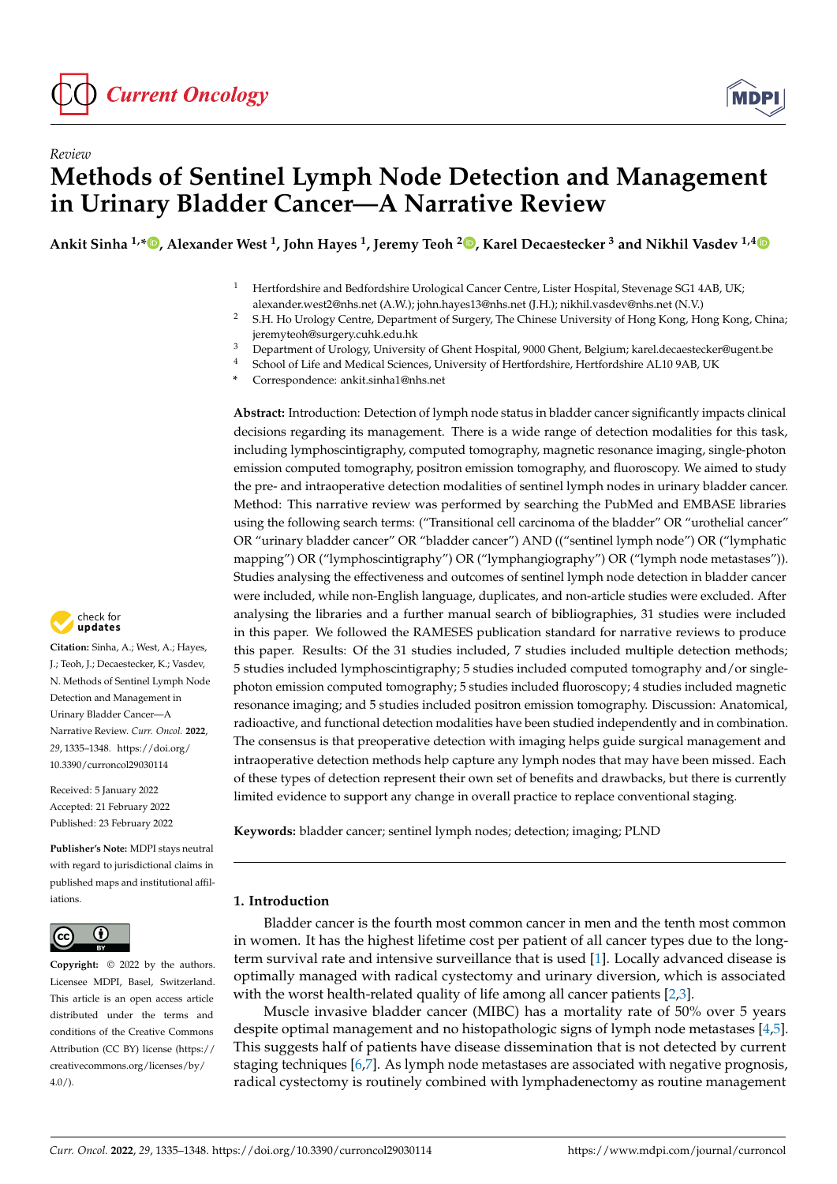



# *Review* **Methods of Sentinel Lymph Node Detection and Management in Urinary Bladder Cancer—A Narrative Review**

**Ankit Sinha 1,\* [,](https://orcid.org/0000-0002-1180-6574) Alexander West <sup>1</sup> , John Hayes <sup>1</sup> , Jeremy Teoh [2](https://orcid.org/0000-0002-9361-2342) , Karel Decaestecker <sup>3</sup> and Nikhil Vasdev 1,[4](https://orcid.org/0000-0002-3966-5734)**

- <sup>1</sup> Hertfordshire and Bedfordshire Urological Cancer Centre, Lister Hospital, Stevenage SG1 4AB, UK; alexander.west2@nhs.net (A.W.); john.hayes13@nhs.net (J.H.); nikhil.vasdev@nhs.net (N.V.)
- <sup>2</sup> S.H. Ho Urology Centre, Department of Surgery, The Chinese University of Hong Kong, Hong Kong, China; jeremyteoh@surgery.cuhk.edu.hk
- <sup>3</sup> Department of Urology, University of Ghent Hospital, 9000 Ghent, Belgium; karel.decaestecker@ugent.be<br><sup>4</sup> School of Life and Modical Sciences, University of Hortfordship Hortfordship AL10.9AB LIK
- <sup>4</sup> School of Life and Medical Sciences, University of Hertfordshire, Hertfordshire AL10 9AB, UK
- **\*** Correspondence: ankit.sinha1@nhs.net

**Abstract:** Introduction: Detection of lymph node status in bladder cancer significantly impacts clinical decisions regarding its management. There is a wide range of detection modalities for this task, including lymphoscintigraphy, computed tomography, magnetic resonance imaging, single-photon emission computed tomography, positron emission tomography, and fluoroscopy. We aimed to study the pre- and intraoperative detection modalities of sentinel lymph nodes in urinary bladder cancer. Method: This narrative review was performed by searching the PubMed and EMBASE libraries using the following search terms: ("Transitional cell carcinoma of the bladder" OR "urothelial cancer" OR "urinary bladder cancer" OR "bladder cancer") AND (("sentinel lymph node") OR ("lymphatic mapping") OR ("lymphoscintigraphy") OR ("lymphangiography") OR ("lymph node metastases")). Studies analysing the effectiveness and outcomes of sentinel lymph node detection in bladder cancer were included, while non-English language, duplicates, and non-article studies were excluded. After analysing the libraries and a further manual search of bibliographies, 31 studies were included in this paper. We followed the RAMESES publication standard for narrative reviews to produce this paper. Results: Of the 31 studies included, 7 studies included multiple detection methods; 5 studies included lymphoscintigraphy; 5 studies included computed tomography and/or singlephoton emission computed tomography; 5 studies included fluoroscopy; 4 studies included magnetic resonance imaging; and 5 studies included positron emission tomography. Discussion: Anatomical, radioactive, and functional detection modalities have been studied independently and in combination. The consensus is that preoperative detection with imaging helps guide surgical management and intraoperative detection methods help capture any lymph nodes that may have been missed. Each of these types of detection represent their own set of benefits and drawbacks, but there is currently limited evidence to support any change in overall practice to replace conventional staging.

**Keywords:** bladder cancer; sentinel lymph nodes; detection; imaging; PLND

# **1. Introduction**

Bladder cancer is the fourth most common cancer in men and the tenth most common in women. It has the highest lifetime cost per patient of all cancer types due to the longterm survival rate and intensive surveillance that is used [\[1\]](#page-10-0). Locally advanced disease is optimally managed with radical cystectomy and urinary diversion, which is associated with the worst health-related quality of life among all cancer patients [\[2](#page-10-1)[,3\]](#page-10-2).

Muscle invasive bladder cancer (MIBC) has a mortality rate of 50% over 5 years despite optimal management and no histopathologic signs of lymph node metastases [\[4](#page-10-3)[,5\]](#page-10-4). This suggests half of patients have disease dissemination that is not detected by current staging techniques [\[6,](#page-10-5)[7\]](#page-10-6). As lymph node metastases are associated with negative prognosis, radical cystectomy is routinely combined with lymphadenectomy as routine management



**Citation:** Sinha, A.; West, A.; Hayes, J.; Teoh, J.; Decaestecker, K.; Vasdev, N. Methods of Sentinel Lymph Node Detection and Management in Urinary Bladder Cancer—A Narrative Review. *Curr. Oncol.* **2022**, *29*, 1335–1348. [https://doi.org/](https://doi.org/10.3390/curroncol29030114) [10.3390/curroncol29030114](https://doi.org/10.3390/curroncol29030114)

Received: 5 January 2022 Accepted: 21 February 2022 Published: 23 February 2022

**Publisher's Note:** MDPI stays neutral with regard to jurisdictional claims in published maps and institutional affiliations.



**Copyright:** © 2022 by the authors. Licensee MDPI, Basel, Switzerland. This article is an open access article distributed under the terms and conditions of the Creative Commons Attribution (CC BY) license [\(https://](https://creativecommons.org/licenses/by/4.0/) [creativecommons.org/licenses/by/](https://creativecommons.org/licenses/by/4.0/)  $4.0/$ ).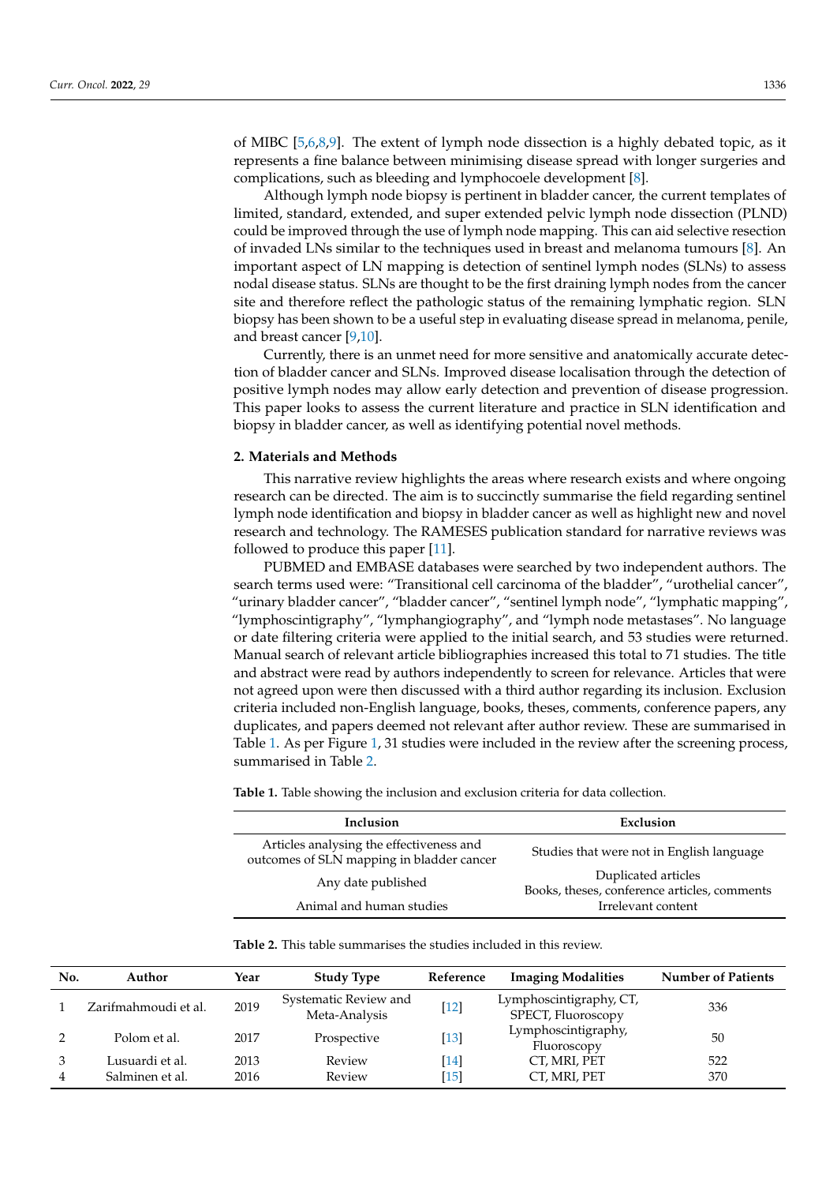of MIBC [\[5](#page-10-4)[,6](#page-10-5)[,8](#page-10-7)[,9\]](#page-10-8). The extent of lymph node dissection is a highly debated topic, as it represents a fine balance between minimising disease spread with longer surgeries and complications, such as bleeding and lymphocoele development [\[8\]](#page-10-7).

Although lymph node biopsy is pertinent in bladder cancer, the current templates of limited, standard, extended, and super extended pelvic lymph node dissection (PLND) could be improved through the use of lymph node mapping. This can aid selective resection of invaded LNs similar to the techniques used in breast and melanoma tumours [\[8\]](#page-10-7). An important aspect of LN mapping is detection of sentinel lymph nodes (SLNs) to assess nodal disease status. SLNs are thought to be the first draining lymph nodes from the cancer site and therefore reflect the pathologic status of the remaining lymphatic region. SLN biopsy has been shown to be a useful step in evaluating disease spread in melanoma, penile, and breast cancer [\[9](#page-10-8)[,10\]](#page-10-9).

Currently, there is an unmet need for more sensitive and anatomically accurate detection of bladder cancer and SLNs. Improved disease localisation through the detection of positive lymph nodes may allow early detection and prevention of disease progression. This paper looks to assess the current literature and practice in SLN identification and biopsy in bladder cancer, as well as identifying potential novel methods.

## **2. Materials and Methods**

This narrative review highlights the areas where research exists and where ongoing research can be directed. The aim is to succinctly summarise the field regarding sentinel lymph node identification and biopsy in bladder cancer as well as highlight new and novel research and technology. The RAMESES publication standard for narrative reviews was followed to produce this paper [\[11\]](#page-10-10).

PUBMED and EMBASE databases were searched by two independent authors. The search terms used were: "Transitional cell carcinoma of the bladder", "urothelial cancer", "urinary bladder cancer", "bladder cancer", "sentinel lymph node", "lymphatic mapping", "lymphoscintigraphy", "lymphangiography", and "lymph node metastases". No language or date filtering criteria were applied to the initial search, and 53 studies were returned. Manual search of relevant article bibliographies increased this total to 71 studies. The title and abstract were read by authors independently to screen for relevance. Articles that were not agreed upon were then discussed with a third author regarding its inclusion. Exclusion criteria included non-English language, books, theses, comments, conference papers, any duplicates, and papers deemed not relevant after author review. These are summarised in Table [1.](#page-1-0) As per Figure [1,](#page-2-0) 31 studies were included in the review after the screening process, summarised in Table [2.](#page-2-1)

<span id="page-1-0"></span>**Table 1.** Table showing the inclusion and exclusion criteria for data collection.

| Inclusion                                                                             | Exclusion                                                           |  |  |
|---------------------------------------------------------------------------------------|---------------------------------------------------------------------|--|--|
| Articles analysing the effectiveness and<br>outcomes of SLN mapping in bladder cancer | Studies that were not in English language                           |  |  |
| Any date published                                                                    | Duplicated articles<br>Books, theses, conference articles, comments |  |  |
| Animal and human studies                                                              | Irrelevant content                                                  |  |  |

**Table 2.** This table summarises the studies included in this review.

| No. | Author                             | Year         | <b>Study Type</b>                      | Reference          | <b>Imaging Modalities</b>                     | <b>Number of Patients</b> |
|-----|------------------------------------|--------------|----------------------------------------|--------------------|-----------------------------------------------|---------------------------|
|     | Zarifmahmoudi et al.               | 2019         | Systematic Review and<br>Meta-Analysis | $[12]$             | Lymphoscintigraphy, CT,<br>SPECT, Fluoroscopy | 336                       |
|     | Polom et al.                       | 2017         | Prospective                            | $\lceil 13 \rceil$ | Lymphoscintigraphy,<br>Fluoroscopy            | 50                        |
|     | Lusuardi et al.<br>Salminen et al. | 2013<br>2016 | Review<br>Review                       | [14]<br>[15]       | CT, MRI, PET<br>CT, MRI, PET                  | 522<br>370                |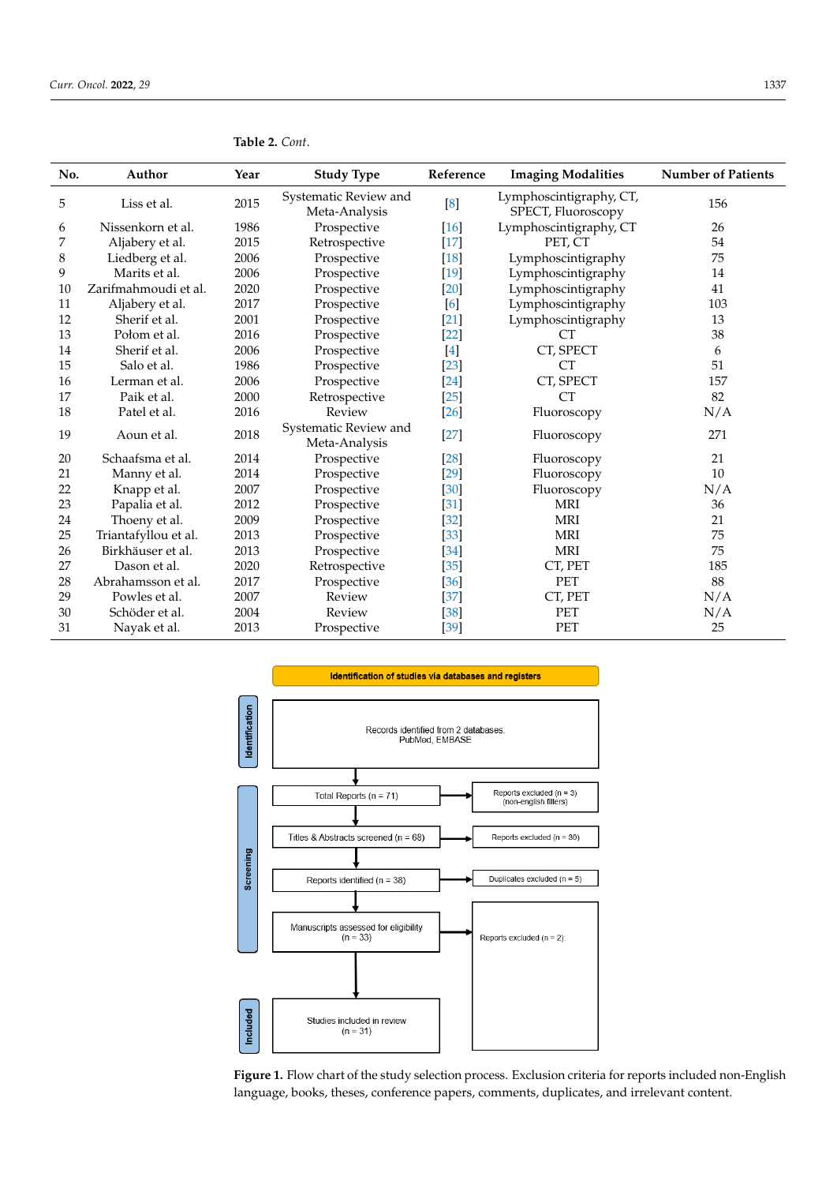| No. | Author               | Year | <b>Study Type</b>                      | Reference | <b>Imaging Modalities</b>                     | <b>Number of Patients</b> |
|-----|----------------------|------|----------------------------------------|-----------|-----------------------------------------------|---------------------------|
| 5   | Liss et al.          | 2015 | Systematic Review and<br>Meta-Analysis | [8]       | Lymphoscintigraphy, CT,<br>SPECT, Fluoroscopy | 156                       |
| 6   | Nissenkorn et al.    | 1986 | Prospective                            | [16]      | Lymphoscintigraphy, CT                        | 26                        |
| 7   | Aljabery et al.      | 2015 | Retrospective                          | $[17]$    | PET. CT                                       | 54                        |
| 8   | Liedberg et al.      | 2006 | Prospective                            | $[18]$    | Lymphoscintigraphy                            | 75                        |
| 9   | Marits et al.        | 2006 | Prospective                            | $[19]$    | Lymphoscintigraphy                            | 14                        |
| 10  | Zarifmahmoudi et al. | 2020 | Prospective                            | $[20]$    | Lymphoscintigraphy                            | 41                        |
| 11  | Aljabery et al.      | 2017 | Prospective                            | [6]       | Lymphoscintigraphy                            | 103                       |
| 12  | Sherif et al.        | 2001 | Prospective                            | $[21]$    | Lymphoscintigraphy                            | 13                        |
| 13  | Połom et al.         | 2016 | Prospective                            | $[22]$    | CT.                                           | 38                        |
| 14  | Sherif et al.        | 2006 | Prospective                            | $[4]$     | CT, SPECT                                     | 6                         |
| 15  | Salo et al.          | 1986 | Prospective                            | $[23]$    | <b>CT</b>                                     | 51                        |
| 16  | Lerman et al.        | 2006 | Prospective                            | [24]      | CT, SPECT                                     | 157                       |
| 17  | Paik et al.          | 2000 | Retrospective                          | $[25]$    | <b>CT</b>                                     | 82                        |
| 18  | Patel et al.         | 2016 | Review                                 | $[26]$    | Fluoroscopy                                   | N/A                       |
| 19  | Aoun et al.          | 2018 | Systematic Review and<br>Meta-Analysis | $[27]$    | Fluoroscopy                                   | 271                       |
| 20  | Schaafsma et al.     | 2014 | Prospective                            | [28]      | Fluoroscopy                                   | 21                        |
| 21  | Manny et al.         | 2014 | Prospective                            | $[29]$    | Fluoroscopy                                   | 10                        |
| 22  | Knapp et al.         | 2007 | Prospective                            | [30]      | Fluoroscopy                                   | N/A                       |
| 23  | Papalia et al.       | 2012 | Prospective                            | $[31]$    | <b>MRI</b>                                    | 36                        |
| 24  | Thoeny et al.        | 2009 | Prospective                            | $[32]$    | <b>MRI</b>                                    | 21                        |
| 25  | Triantafyllou et al. | 2013 | Prospective                            | $[33]$    | <b>MRI</b>                                    | 75                        |
| 26  | Birkhäuser et al.    | 2013 | Prospective                            | [34]      | <b>MRI</b>                                    | 75                        |
| 27  | Dason et al.         | 2020 | Retrospective                          | $[35]$    | CT, PET                                       | 185                       |
| 28  | Abrahamsson et al.   | 2017 | Prospective                            | [36]      | <b>PET</b>                                    | 88                        |
| 29  | Powles et al.        | 2007 | Review                                 | $[37]$    | CT, PET                                       | N/A                       |
| 30  | Schöder et al.       | 2004 | Review                                 | $[38]$    | <b>PET</b>                                    | N/A                       |
| 31  | Nayak et al.         | 2013 | Prospective                            | $[39]$    | <b>PET</b>                                    | 25                        |

<span id="page-2-1"></span>

<span id="page-2-0"></span>

Figure 1. Flow chart of the study selection process. Exclusion criteria for reports included non-English lish language, books, theses, conference papers, comments, duplicates, and irrelevant content. language, books, theses, conference papers, comments, duplicates, and irrelevant content.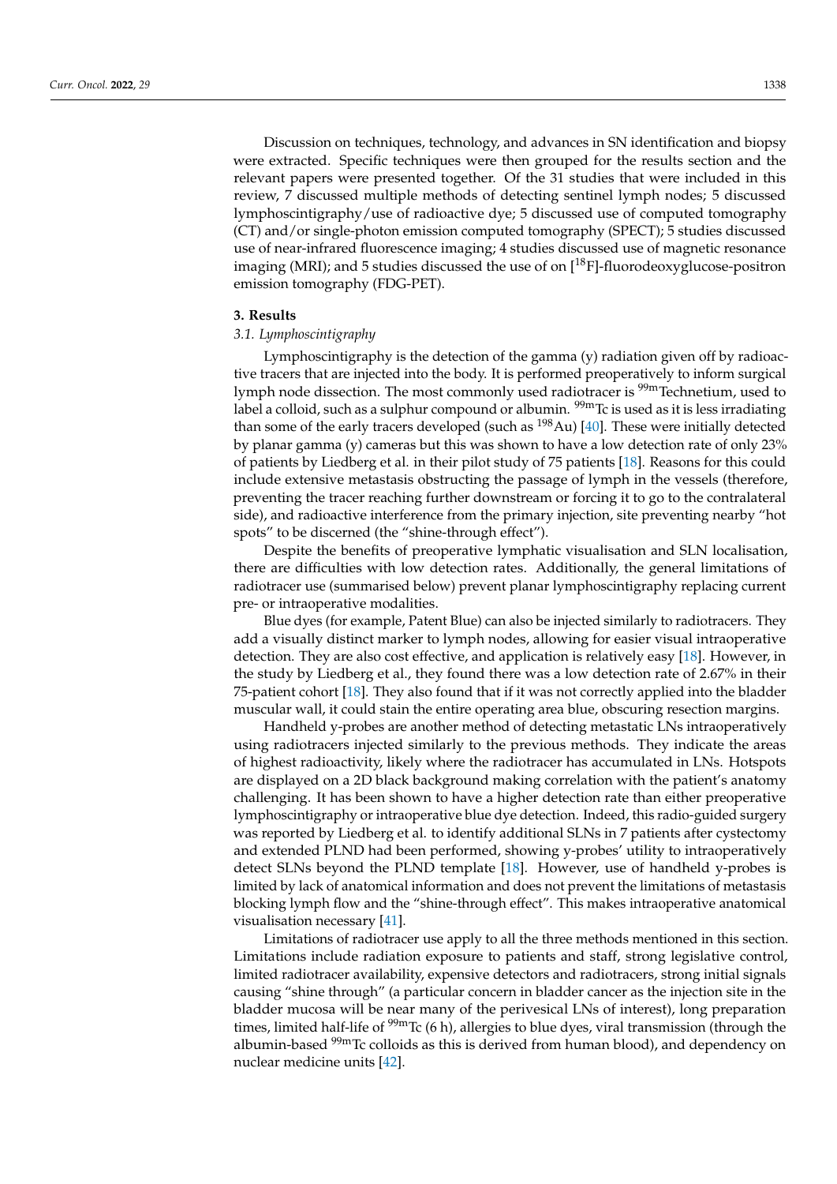Discussion on techniques, technology, and advances in SN identification and biopsy were extracted. Specific techniques were then grouped for the results section and the relevant papers were presented together. Of the 31 studies that were included in this review, 7 discussed multiple methods of detecting sentinel lymph nodes; 5 discussed lymphoscintigraphy/use of radioactive dye; 5 discussed use of computed tomography (CT) and/or single-photon emission computed tomography (SPECT); 5 studies discussed use of near-infrared fluorescence imaging; 4 studies discussed use of magnetic resonance imaging (MRI); and 5 studies discussed the use of on  $[^{18}F]$ -fluorodeoxyglucose-positron emission tomography (FDG-PET).

#### **3. Results**

#### *3.1. Lymphoscintigraphy*

Lymphoscintigraphy is the detection of the gamma (y) radiation given off by radioactive tracers that are injected into the body. It is performed preoperatively to inform surgical lymph node dissection. The most commonly used radiotracer is <sup>99m</sup>Technetium, used to label a colloid, such as a sulphur compound or albumin.  $\frac{99 \text{m}}{100}$  is used as it is less irradiating than some of the early tracers developed (such as  $^{198}$ Au) [\[40\]](#page-11-12). These were initially detected by planar gamma (y) cameras but this was shown to have a low detection rate of only 23% of patients by Liedberg et al. in their pilot study of 75 patients [\[18\]](#page-10-17). Reasons for this could include extensive metastasis obstructing the passage of lymph in the vessels (therefore, preventing the tracer reaching further downstream or forcing it to go to the contralateral side), and radioactive interference from the primary injection, site preventing nearby "hot spots" to be discerned (the "shine-through effect").

Despite the benefits of preoperative lymphatic visualisation and SLN localisation, there are difficulties with low detection rates. Additionally, the general limitations of radiotracer use (summarised below) prevent planar lymphoscintigraphy replacing current pre- or intraoperative modalities.

Blue dyes (for example, Patent Blue) can also be injected similarly to radiotracers. They add a visually distinct marker to lymph nodes, allowing for easier visual intraoperative detection. They are also cost effective, and application is relatively easy [\[18\]](#page-10-17). However, in the study by Liedberg et al., they found there was a low detection rate of 2.67% in their 75-patient cohort [\[18\]](#page-10-17). They also found that if it was not correctly applied into the bladder muscular wall, it could stain the entire operating area blue, obscuring resection margins.

Handheld y-probes are another method of detecting metastatic LNs intraoperatively using radiotracers injected similarly to the previous methods. They indicate the areas of highest radioactivity, likely where the radiotracer has accumulated in LNs. Hotspots are displayed on a 2D black background making correlation with the patient's anatomy challenging. It has been shown to have a higher detection rate than either preoperative lymphoscintigraphy or intraoperative blue dye detection. Indeed, this radio-guided surgery was reported by Liedberg et al. to identify additional SLNs in 7 patients after cystectomy and extended PLND had been performed, showing y-probes' utility to intraoperatively detect SLNs beyond the PLND template [\[18\]](#page-10-17). However, use of handheld y-probes is limited by lack of anatomical information and does not prevent the limitations of metastasis blocking lymph flow and the "shine-through effect". This makes intraoperative anatomical visualisation necessary [\[41\]](#page-11-13).

Limitations of radiotracer use apply to all the three methods mentioned in this section. Limitations include radiation exposure to patients and staff, strong legislative control, limited radiotracer availability, expensive detectors and radiotracers, strong initial signals causing "shine through" (a particular concern in bladder cancer as the injection site in the bladder mucosa will be near many of the perivesical LNs of interest), long preparation times, limited half-life of  $\frac{99m}{C}$  (6 h), allergies to blue dyes, viral transmission (through the albumin-based  $\frac{99m}{2}$  colloids as this is derived from human blood), and dependency on nuclear medicine units [\[42\]](#page-11-14).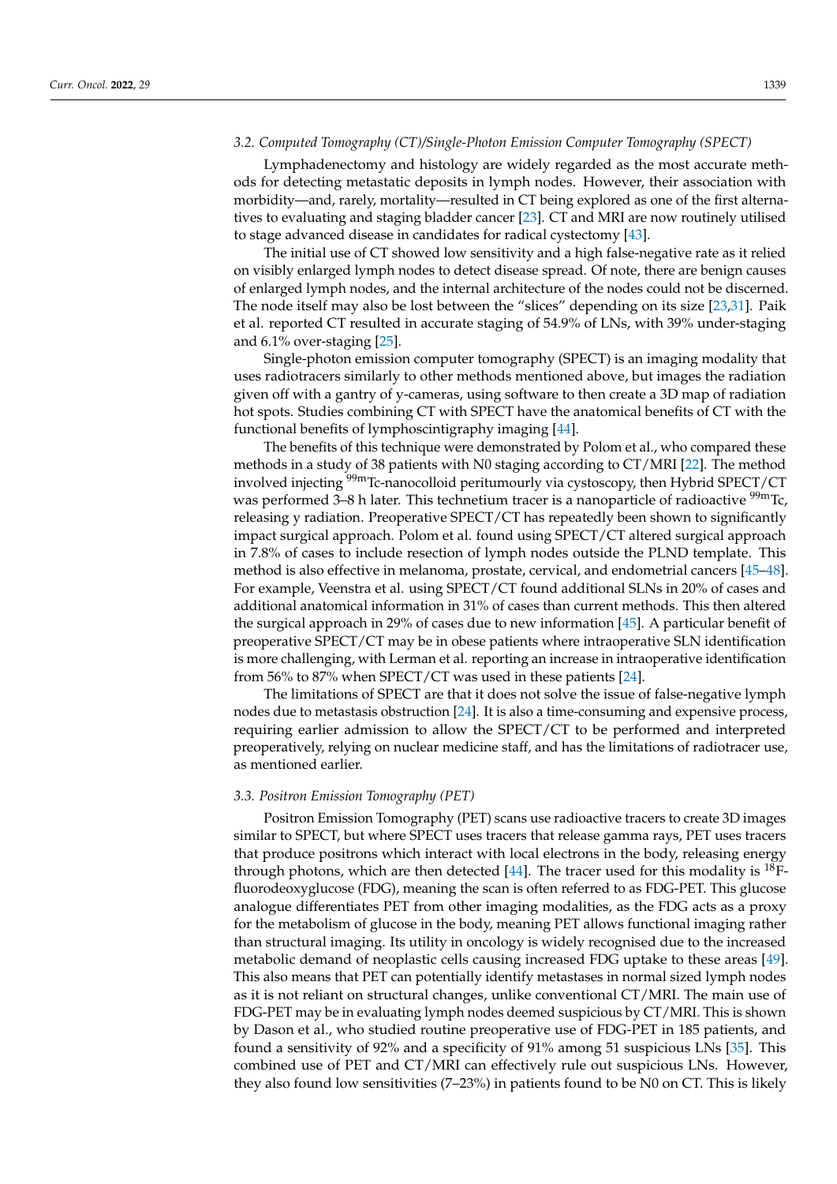## *3.2. Computed Tomography (CT)/Single-Photon Emission Computer Tomography (SPECT)*

Lymphadenectomy and histology are widely regarded as the most accurate methods for detecting metastatic deposits in lymph nodes. However, their association with morbidity—and, rarely, mortality—resulted in CT being explored as one of the first alternatives to evaluating and staging bladder cancer [\[23\]](#page-10-22). CT and MRI are now routinely utilised to stage advanced disease in candidates for radical cystectomy [\[43\]](#page-11-15).

The initial use of CT showed low sensitivity and a high false-negative rate as it relied on visibly enlarged lymph nodes to detect disease spread. Of note, there are benign causes of enlarged lymph nodes, and the internal architecture of the nodes could not be discerned. The node itself may also be lost between the "slices" depending on its size [\[23](#page-10-22)[,31\]](#page-11-3). Paik et al. reported CT resulted in accurate staging of 54.9% of LNs, with 39% under-staging and 6.1% over-staging [\[25\]](#page-10-24).

Single-photon emission computer tomography (SPECT) is an imaging modality that uses radiotracers similarly to other methods mentioned above, but images the radiation given off with a gantry of y-cameras, using software to then create a 3D map of radiation hot spots. Studies combining CT with SPECT have the anatomical benefits of CT with the functional benefits of lymphoscintigraphy imaging [\[44\]](#page-11-16).

The benefits of this technique were demonstrated by Polom et al., who compared these methods in a study of 38 patients with N0 staging according to CT/MRI [\[22\]](#page-10-21). The method involved injecting <sup>99m</sup>Tc-nanocolloid peritumourly via cystoscopy, then Hybrid SPECT/CT was performed 3–8 h later. This technetium tracer is a nanoparticle of radioactive <sup>99m</sup>Tc, releasing y radiation. Preoperative SPECT/CT has repeatedly been shown to significantly impact surgical approach. Polom et al. found using SPECT/CT altered surgical approach in 7.8% of cases to include resection of lymph nodes outside the PLND template. This method is also effective in melanoma, prostate, cervical, and endometrial cancers [\[45](#page-11-17)[–48\]](#page-11-18). For example, Veenstra et al. using SPECT/CT found additional SLNs in 20% of cases and additional anatomical information in 31% of cases than current methods. This then altered the surgical approach in 29% of cases due to new information [\[45\]](#page-11-17). A particular benefit of preoperative SPECT/CT may be in obese patients where intraoperative SLN identification is more challenging, with Lerman et al. reporting an increase in intraoperative identification from 56% to 87% when SPECT/CT was used in these patients [\[24\]](#page-10-23).

The limitations of SPECT are that it does not solve the issue of false-negative lymph nodes due to metastasis obstruction [\[24\]](#page-10-23). It is also a time-consuming and expensive process, requiring earlier admission to allow the SPECT/CT to be performed and interpreted preoperatively, relying on nuclear medicine staff, and has the limitations of radiotracer use, as mentioned earlier.

## *3.3. Positron Emission Tomography (PET)*

Positron Emission Tomography (PET) scans use radioactive tracers to create 3D images similar to SPECT, but where SPECT uses tracers that release gamma rays, PET uses tracers that produce positrons which interact with local electrons in the body, releasing energy through photons, which are then detected [\[44\]](#page-11-16). The tracer used for this modality is  $^{18}F$ fluorodeoxyglucose (FDG), meaning the scan is often referred to as FDG-PET. This glucose analogue differentiates PET from other imaging modalities, as the FDG acts as a proxy for the metabolism of glucose in the body, meaning PET allows functional imaging rather than structural imaging. Its utility in oncology is widely recognised due to the increased metabolic demand of neoplastic cells causing increased FDG uptake to these areas [\[49\]](#page-12-0). This also means that PET can potentially identify metastases in normal sized lymph nodes as it is not reliant on structural changes, unlike conventional CT/MRI. The main use of FDG-PET may be in evaluating lymph nodes deemed suspicious by CT/MRI. This is shown by Dason et al., who studied routine preoperative use of FDG-PET in 185 patients, and found a sensitivity of 92% and a specificity of 91% among 51 suspicious LNs [\[35\]](#page-11-7). This combined use of PET and CT/MRI can effectively rule out suspicious LNs. However, they also found low sensitivities (7–23%) in patients found to be N0 on CT. This is likely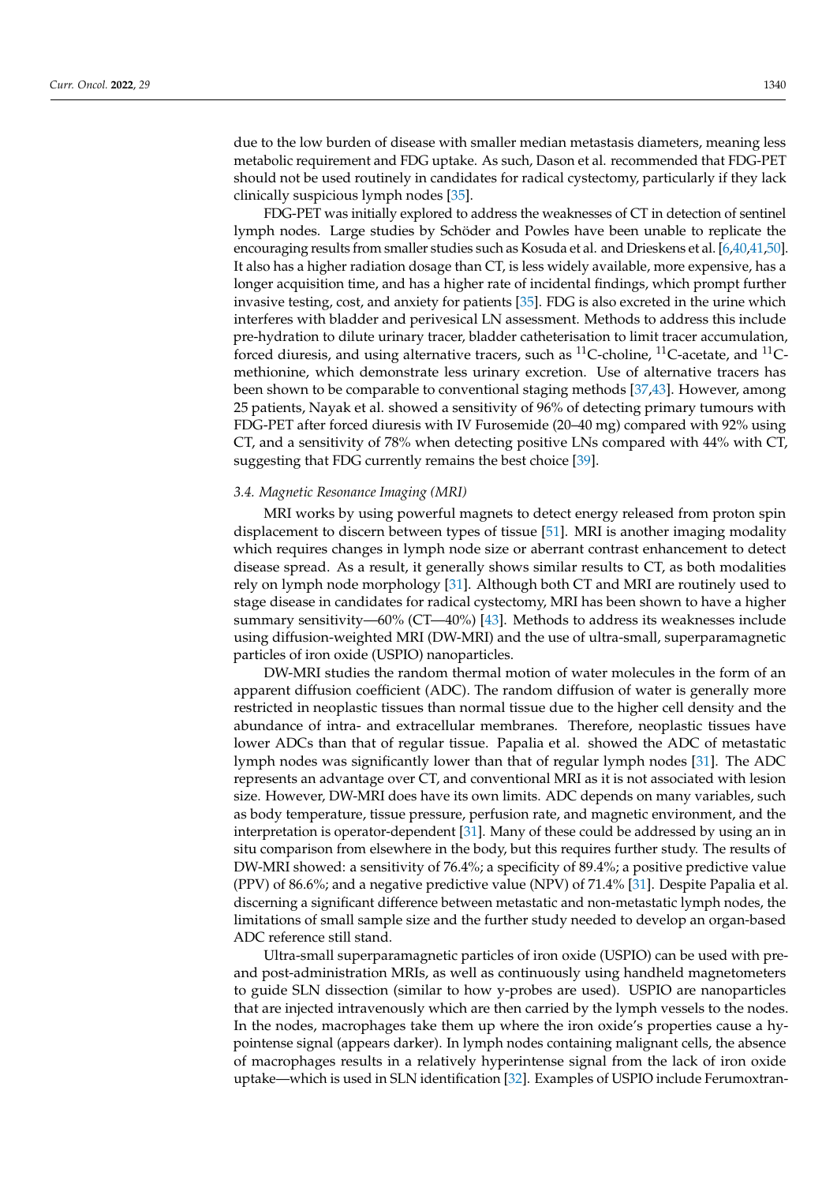due to the low burden of disease with smaller median metastasis diameters, meaning less metabolic requirement and FDG uptake. As such, Dason et al. recommended that FDG-PET should not be used routinely in candidates for radical cystectomy, particularly if they lack clinically suspicious lymph nodes [\[35\]](#page-11-7).

FDG-PET was initially explored to address the weaknesses of CT in detection of sentinel lymph nodes. Large studies by Schöder and Powles have been unable to replicate the encouraging results from smaller studies such as Kosuda et al. and Drieskens et al. [\[6](#page-10-5)[,40,](#page-11-12)[41](#page-11-13)[,50\]](#page-12-1). It also has a higher radiation dosage than CT, is less widely available, more expensive, has a longer acquisition time, and has a higher rate of incidental findings, which prompt further invasive testing, cost, and anxiety for patients [\[35\]](#page-11-7). FDG is also excreted in the urine which interferes with bladder and perivesical LN assessment. Methods to address this include pre-hydration to dilute urinary tracer, bladder catheterisation to limit tracer accumulation, forced diuresis, and using alternative tracers, such as  $^{11}$ C-choline,  $^{11}$ C-acetate, and  $^{11}$ Cmethionine, which demonstrate less urinary excretion. Use of alternative tracers has been shown to be comparable to conventional staging methods [\[37](#page-11-9)[,43\]](#page-11-15). However, among 25 patients, Nayak et al. showed a sensitivity of 96% of detecting primary tumours with FDG-PET after forced diuresis with IV Furosemide (20–40 mg) compared with 92% using CT, and a sensitivity of 78% when detecting positive LNs compared with 44% with CT, suggesting that FDG currently remains the best choice [\[39\]](#page-11-11).

#### *3.4. Magnetic Resonance Imaging (MRI)*

MRI works by using powerful magnets to detect energy released from proton spin displacement to discern between types of tissue [\[51\]](#page-12-2). MRI is another imaging modality which requires changes in lymph node size or aberrant contrast enhancement to detect disease spread. As a result, it generally shows similar results to CT, as both modalities rely on lymph node morphology [\[31\]](#page-11-3). Although both CT and MRI are routinely used to stage disease in candidates for radical cystectomy, MRI has been shown to have a higher summary sensitivity—60% (CT—40%) [\[43\]](#page-11-15). Methods to address its weaknesses include using diffusion-weighted MRI (DW-MRI) and the use of ultra-small, superparamagnetic particles of iron oxide (USPIO) nanoparticles.

DW-MRI studies the random thermal motion of water molecules in the form of an apparent diffusion coefficient (ADC). The random diffusion of water is generally more restricted in neoplastic tissues than normal tissue due to the higher cell density and the abundance of intra- and extracellular membranes. Therefore, neoplastic tissues have lower ADCs than that of regular tissue. Papalia et al. showed the ADC of metastatic lymph nodes was significantly lower than that of regular lymph nodes [\[31\]](#page-11-3). The ADC represents an advantage over CT, and conventional MRI as it is not associated with lesion size. However, DW-MRI does have its own limits. ADC depends on many variables, such as body temperature, tissue pressure, perfusion rate, and magnetic environment, and the interpretation is operator-dependent [\[31\]](#page-11-3). Many of these could be addressed by using an in situ comparison from elsewhere in the body, but this requires further study. The results of DW-MRI showed: a sensitivity of 76.4%; a specificity of 89.4%; a positive predictive value (PPV) of 86.6%; and a negative predictive value (NPV) of 71.4% [\[31\]](#page-11-3). Despite Papalia et al. discerning a significant difference between metastatic and non-metastatic lymph nodes, the limitations of small sample size and the further study needed to develop an organ-based ADC reference still stand.

Ultra-small superparamagnetic particles of iron oxide (USPIO) can be used with preand post-administration MRIs, as well as continuously using handheld magnetometers to guide SLN dissection (similar to how y-probes are used). USPIO are nanoparticles that are injected intravenously which are then carried by the lymph vessels to the nodes. In the nodes, macrophages take them up where the iron oxide's properties cause a hypointense signal (appears darker). In lymph nodes containing malignant cells, the absence of macrophages results in a relatively hyperintense signal from the lack of iron oxide uptake—which is used in SLN identification [\[32\]](#page-11-4). Examples of USPIO include Ferumoxtran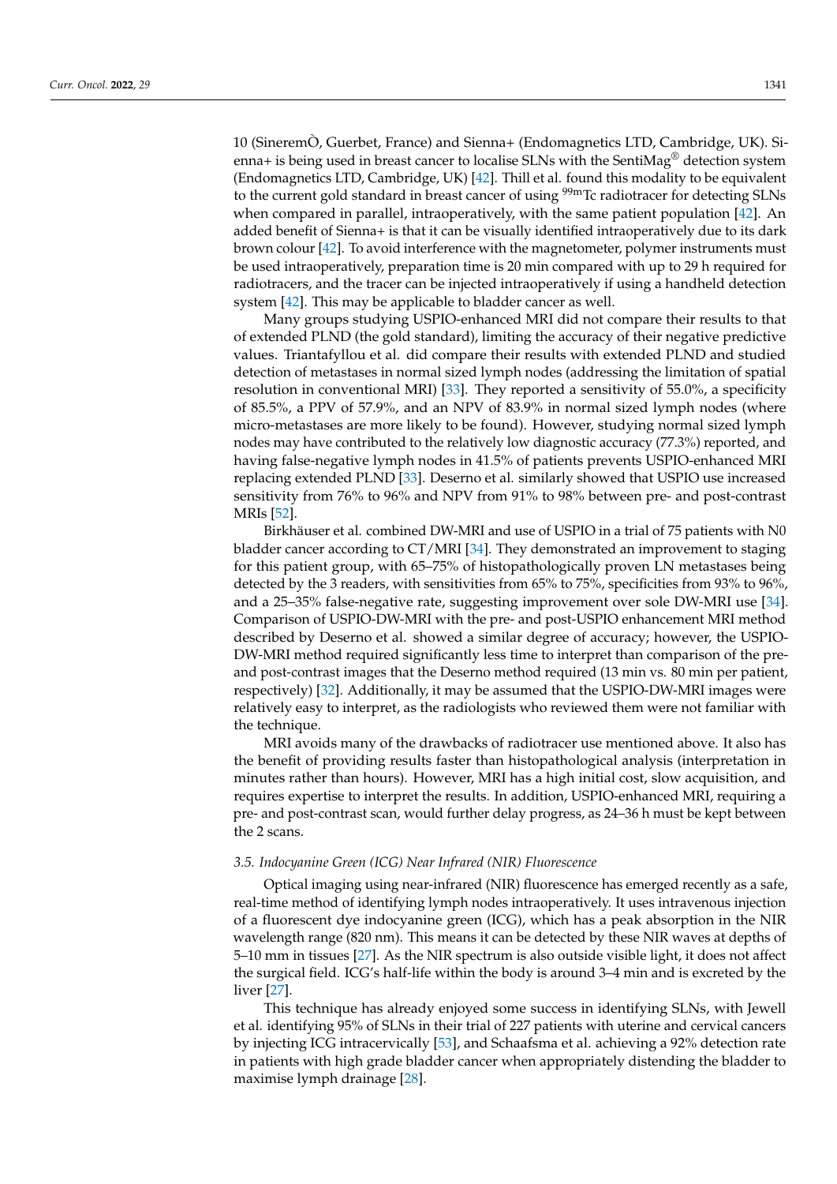10 (SineremÒ, Guerbet, France) and Sienna+ (Endomagnetics LTD, Cambridge, UK). Sienna+ is being used in breast cancer to localise SLNs with the SentiMag<sup>®</sup> detection system (Endomagnetics LTD, Cambridge, UK) [\[42\]](#page-11-14). Thill et al. found this modality to be equivalent to the current gold standard in breast cancer of using <sup>99m</sup>Tc radiotracer for detecting SLNs when compared in parallel, intraoperatively, with the same patient population [\[42\]](#page-11-14). An added benefit of Sienna+ is that it can be visually identified intraoperatively due to its dark brown colour [\[42\]](#page-11-14). To avoid interference with the magnetometer, polymer instruments must be used intraoperatively, preparation time is 20 min compared with up to 29 h required for radiotracers, and the tracer can be injected intraoperatively if using a handheld detection system [\[42\]](#page-11-14). This may be applicable to bladder cancer as well.

Many groups studying USPIO-enhanced MRI did not compare their results to that of extended PLND (the gold standard), limiting the accuracy of their negative predictive values. Triantafyllou et al. did compare their results with extended PLND and studied detection of metastases in normal sized lymph nodes (addressing the limitation of spatial resolution in conventional MRI) [\[33\]](#page-11-5). They reported a sensitivity of 55.0%, a specificity of 85.5%, a PPV of 57.9%, and an NPV of 83.9% in normal sized lymph nodes (where micro-metastases are more likely to be found). However, studying normal sized lymph nodes may have contributed to the relatively low diagnostic accuracy (77.3%) reported, and having false-negative lymph nodes in 41.5% of patients prevents USPIO-enhanced MRI replacing extended PLND [\[33\]](#page-11-5). Deserno et al. similarly showed that USPIO use increased sensitivity from 76% to 96% and NPV from 91% to 98% between pre- and post-contrast MRIs [\[52\]](#page-12-3).

Birkhäuser et al. combined DW-MRI and use of USPIO in a trial of 75 patients with N0 bladder cancer according to CT/MRI [\[34\]](#page-11-6). They demonstrated an improvement to staging for this patient group, with 65–75% of histopathologically proven LN metastases being detected by the 3 readers, with sensitivities from 65% to 75%, specificities from 93% to 96%, and a 25–35% false-negative rate, suggesting improvement over sole DW-MRI use [\[34\]](#page-11-6). Comparison of USPIO-DW-MRI with the pre- and post-USPIO enhancement MRI method described by Deserno et al. showed a similar degree of accuracy; however, the USPIO-DW-MRI method required significantly less time to interpret than comparison of the preand post-contrast images that the Deserno method required (13 min vs. 80 min per patient, respectively) [\[32\]](#page-11-4). Additionally, it may be assumed that the USPIO-DW-MRI images were relatively easy to interpret, as the radiologists who reviewed them were not familiar with the technique.

MRI avoids many of the drawbacks of radiotracer use mentioned above. It also has the benefit of providing results faster than histopathological analysis (interpretation in minutes rather than hours). However, MRI has a high initial cost, slow acquisition, and requires expertise to interpret the results. In addition, USPIO-enhanced MRI, requiring a pre- and post-contrast scan, would further delay progress, as 24–36 h must be kept between the 2 scans.

## *3.5. Indocyanine Green (ICG) Near Infrared (NIR) Fluorescence*

Optical imaging using near-infrared (NIR) fluorescence has emerged recently as a safe, real-time method of identifying lymph nodes intraoperatively. It uses intravenous injection of a fluorescent dye indocyanine green (ICG), which has a peak absorption in the NIR wavelength range (820 nm). This means it can be detected by these NIR waves at depths of 5–10 mm in tissues [\[27\]](#page-10-26). As the NIR spectrum is also outside visible light, it does not affect the surgical field. ICG's half-life within the body is around 3–4 min and is excreted by the liver [\[27\]](#page-10-26).

This technique has already enjoyed some success in identifying SLNs, with Jewell et al. identifying 95% of SLNs in their trial of 227 patients with uterine and cervical cancers by injecting ICG intracervically [\[53\]](#page-12-4), and Schaafsma et al. achieving a 92% detection rate in patients with high grade bladder cancer when appropriately distending the bladder to maximise lymph drainage [\[28\]](#page-11-0).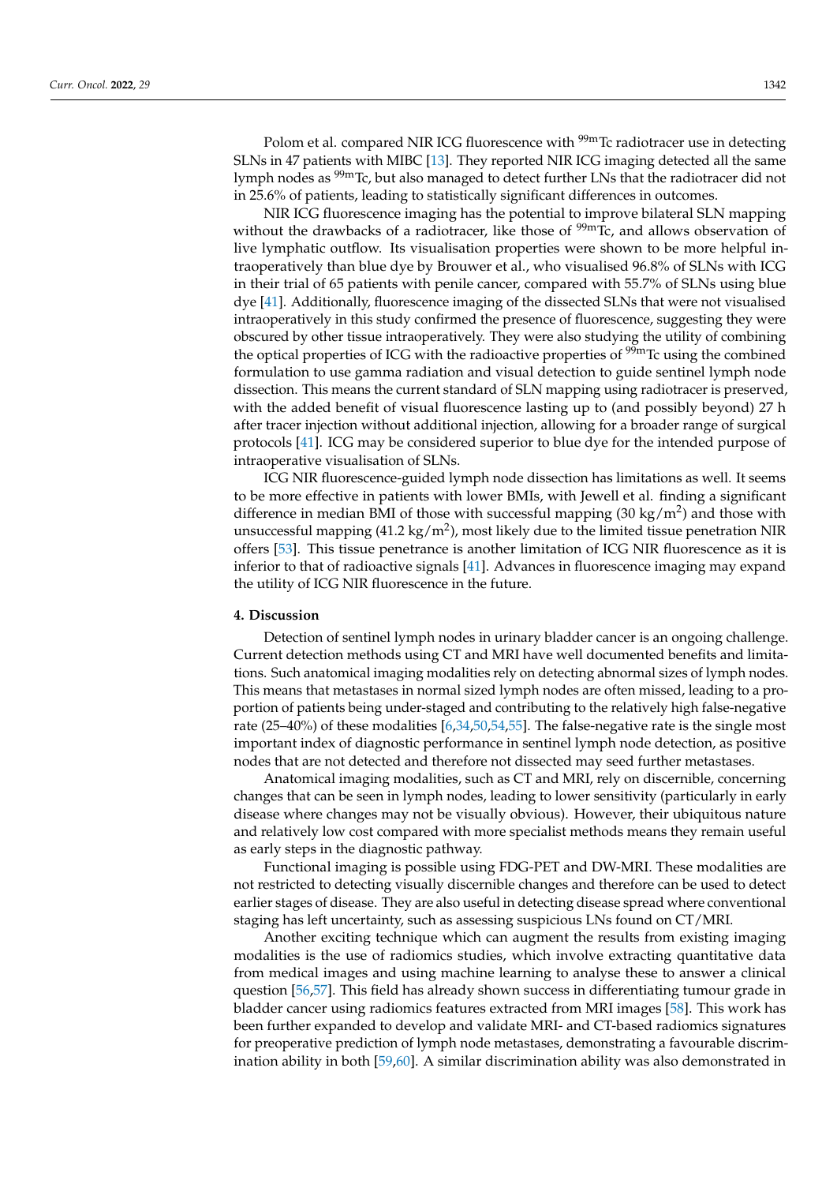Polom et al. compared NIR ICG fluorescence with <sup>99m</sup>Tc radiotracer use in detecting SLNs in 47 patients with MIBC [\[13\]](#page-10-12). They reported NIR ICG imaging detected all the same lymph nodes as <sup>99m</sup>Tc, but also managed to detect further LNs that the radiotracer did not in 25.6% of patients, leading to statistically significant differences in outcomes.

NIR ICG fluorescence imaging has the potential to improve bilateral SLN mapping without the drawbacks of a radiotracer, like those of  $\frac{99m}{C}$ , and allows observation of live lymphatic outflow. Its visualisation properties were shown to be more helpful intraoperatively than blue dye by Brouwer et al., who visualised 96.8% of SLNs with ICG in their trial of 65 patients with penile cancer, compared with 55.7% of SLNs using blue dye [\[41\]](#page-11-13). Additionally, fluorescence imaging of the dissected SLNs that were not visualised intraoperatively in this study confirmed the presence of fluorescence, suggesting they were obscured by other tissue intraoperatively. They were also studying the utility of combining the optical properties of ICG with the radioactive properties of  $\frac{99 \text{m}}{2}$  to using the combined formulation to use gamma radiation and visual detection to guide sentinel lymph node dissection. This means the current standard of SLN mapping using radiotracer is preserved, with the added benefit of visual fluorescence lasting up to (and possibly beyond) 27 h after tracer injection without additional injection, allowing for a broader range of surgical protocols [\[41\]](#page-11-13). ICG may be considered superior to blue dye for the intended purpose of intraoperative visualisation of SLNs.

ICG NIR fluorescence-guided lymph node dissection has limitations as well. It seems to be more effective in patients with lower BMIs, with Jewell et al. finding a significant difference in median BMI of those with successful mapping (30 kg/m<sup>2</sup>) and those with unsuccessful mapping (41.2 kg/m<sup>2</sup>), most likely due to the limited tissue penetration NIR offers [\[53\]](#page-12-4). This tissue penetrance is another limitation of ICG NIR fluorescence as it is inferior to that of radioactive signals [\[41\]](#page-11-13). Advances in fluorescence imaging may expand the utility of ICG NIR fluorescence in the future.

#### **4. Discussion**

Detection of sentinel lymph nodes in urinary bladder cancer is an ongoing challenge. Current detection methods using CT and MRI have well documented benefits and limitations. Such anatomical imaging modalities rely on detecting abnormal sizes of lymph nodes. This means that metastases in normal sized lymph nodes are often missed, leading to a proportion of patients being under-staged and contributing to the relatively high false-negative rate (25–40%) of these modalities [\[6](#page-10-5)[,34](#page-11-6)[,50](#page-12-1)[,54](#page-12-5)[,55\]](#page-12-6). The false-negative rate is the single most important index of diagnostic performance in sentinel lymph node detection, as positive nodes that are not detected and therefore not dissected may seed further metastases.

Anatomical imaging modalities, such as CT and MRI, rely on discernible, concerning changes that can be seen in lymph nodes, leading to lower sensitivity (particularly in early disease where changes may not be visually obvious). However, their ubiquitous nature and relatively low cost compared with more specialist methods means they remain useful as early steps in the diagnostic pathway.

Functional imaging is possible using FDG-PET and DW-MRI. These modalities are not restricted to detecting visually discernible changes and therefore can be used to detect earlier stages of disease. They are also useful in detecting disease spread where conventional staging has left uncertainty, such as assessing suspicious LNs found on CT/MRI.

Another exciting technique which can augment the results from existing imaging modalities is the use of radiomics studies, which involve extracting quantitative data from medical images and using machine learning to analyse these to answer a clinical question [\[56](#page-12-7)[,57\]](#page-12-8). This field has already shown success in differentiating tumour grade in bladder cancer using radiomics features extracted from MRI images [\[58\]](#page-12-9). This work has been further expanded to develop and validate MRI- and CT-based radiomics signatures for preoperative prediction of lymph node metastases, demonstrating a favourable discrimination ability in both [\[59](#page-12-10)[,60\]](#page-12-11). A similar discrimination ability was also demonstrated in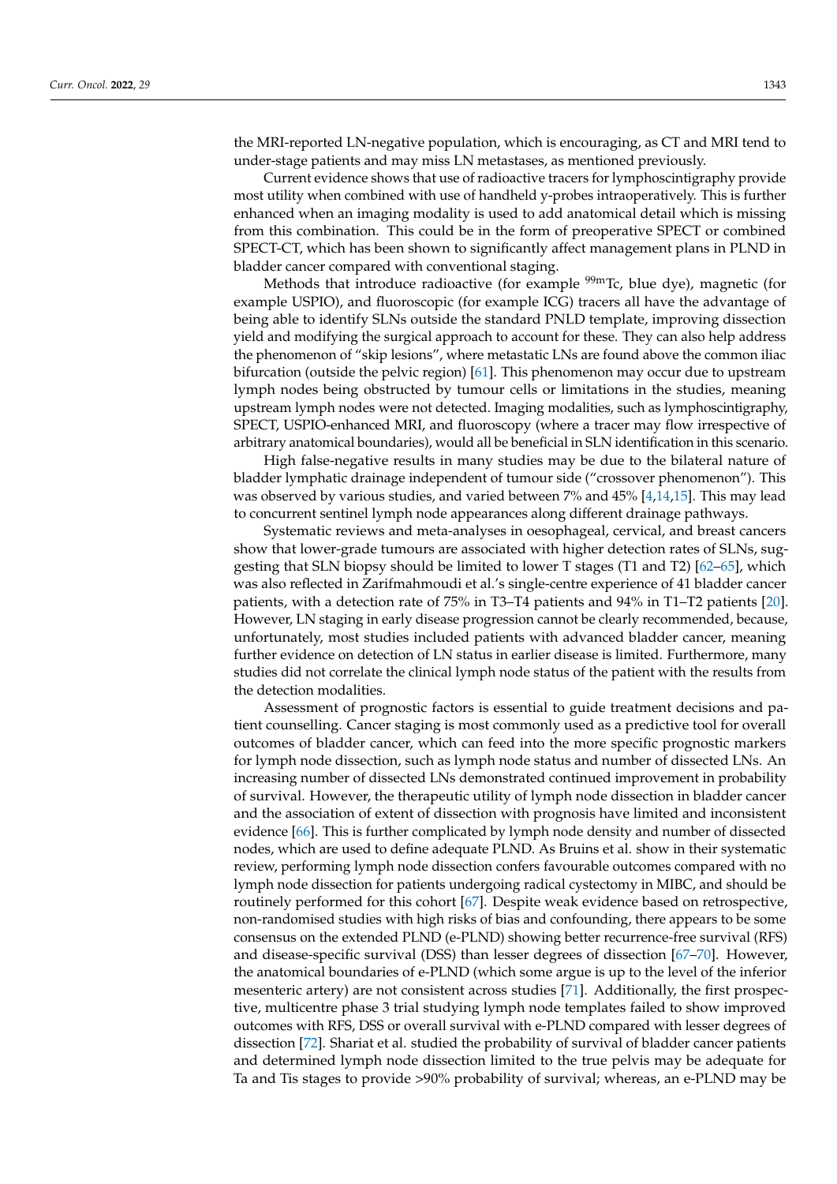the MRI-reported LN-negative population, which is encouraging, as CT and MRI tend to under-stage patients and may miss LN metastases, as mentioned previously.

Current evidence shows that use of radioactive tracers for lymphoscintigraphy provide most utility when combined with use of handheld y-probes intraoperatively. This is further enhanced when an imaging modality is used to add anatomical detail which is missing from this combination. This could be in the form of preoperative SPECT or combined SPECT-CT, which has been shown to significantly affect management plans in PLND in bladder cancer compared with conventional staging.

Methods that introduce radioactive (for example  $\frac{99 \text{m}}{1}$ Tc, blue dye), magnetic (for example USPIO), and fluoroscopic (for example ICG) tracers all have the advantage of being able to identify SLNs outside the standard PNLD template, improving dissection yield and modifying the surgical approach to account for these. They can also help address the phenomenon of "skip lesions", where metastatic LNs are found above the common iliac bifurcation (outside the pelvic region) [\[61\]](#page-12-12). This phenomenon may occur due to upstream lymph nodes being obstructed by tumour cells or limitations in the studies, meaning upstream lymph nodes were not detected. Imaging modalities, such as lymphoscintigraphy, SPECT, USPIO-enhanced MRI, and fluoroscopy (where a tracer may flow irrespective of arbitrary anatomical boundaries), would all be beneficial in SLN identification in this scenario.

High false-negative results in many studies may be due to the bilateral nature of bladder lymphatic drainage independent of tumour side ("crossover phenomenon"). This was observed by various studies, and varied between 7% and 45% [\[4](#page-10-3)[,14](#page-10-13)[,15\]](#page-10-14). This may lead to concurrent sentinel lymph node appearances along different drainage pathways.

Systematic reviews and meta-analyses in oesophageal, cervical, and breast cancers show that lower-grade tumours are associated with higher detection rates of SLNs, suggesting that SLN biopsy should be limited to lower T stages (T1 and T2) [\[62–](#page-12-13)[65\]](#page-12-14), which was also reflected in Zarifmahmoudi et al.'s single-centre experience of 41 bladder cancer patients, with a detection rate of 75% in T3–T4 patients and 94% in T1–T2 patients [\[20\]](#page-10-19). However, LN staging in early disease progression cannot be clearly recommended, because, unfortunately, most studies included patients with advanced bladder cancer, meaning further evidence on detection of LN status in earlier disease is limited. Furthermore, many studies did not correlate the clinical lymph node status of the patient with the results from the detection modalities.

Assessment of prognostic factors is essential to guide treatment decisions and patient counselling. Cancer staging is most commonly used as a predictive tool for overall outcomes of bladder cancer, which can feed into the more specific prognostic markers for lymph node dissection, such as lymph node status and number of dissected LNs. An increasing number of dissected LNs demonstrated continued improvement in probability of survival. However, the therapeutic utility of lymph node dissection in bladder cancer and the association of extent of dissection with prognosis have limited and inconsistent evidence [\[66\]](#page-12-15). This is further complicated by lymph node density and number of dissected nodes, which are used to define adequate PLND. As Bruins et al. show in their systematic review, performing lymph node dissection confers favourable outcomes compared with no lymph node dissection for patients undergoing radical cystectomy in MIBC, and should be routinely performed for this cohort [\[67\]](#page-12-16). Despite weak evidence based on retrospective, non-randomised studies with high risks of bias and confounding, there appears to be some consensus on the extended PLND (e-PLND) showing better recurrence-free survival (RFS) and disease-specific survival (DSS) than lesser degrees of dissection [\[67–](#page-12-16)[70\]](#page-12-17). However, the anatomical boundaries of e-PLND (which some argue is up to the level of the inferior mesenteric artery) are not consistent across studies [\[71\]](#page-12-18). Additionally, the first prospective, multicentre phase 3 trial studying lymph node templates failed to show improved outcomes with RFS, DSS or overall survival with e-PLND compared with lesser degrees of dissection [\[72\]](#page-13-0). Shariat et al. studied the probability of survival of bladder cancer patients and determined lymph node dissection limited to the true pelvis may be adequate for Ta and Tis stages to provide >90% probability of survival; whereas, an e-PLND may be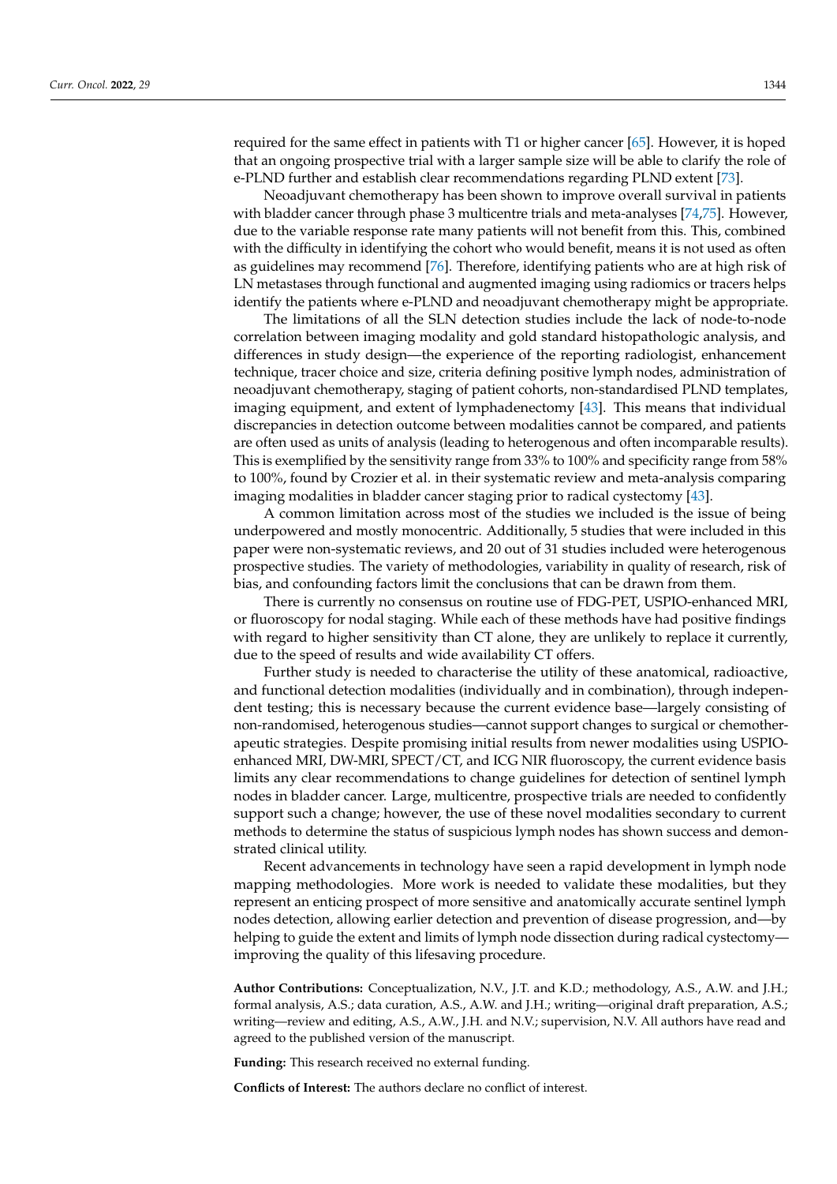required for the same effect in patients with T1 or higher cancer [\[65\]](#page-12-14). However, it is hoped that an ongoing prospective trial with a larger sample size will be able to clarify the role of e-PLND further and establish clear recommendations regarding PLND extent [\[73\]](#page-13-1).

Neoadjuvant chemotherapy has been shown to improve overall survival in patients with bladder cancer through phase 3 multicentre trials and meta-analyses [\[74](#page-13-2)[,75\]](#page-13-3). However, due to the variable response rate many patients will not benefit from this. This, combined with the difficulty in identifying the cohort who would benefit, means it is not used as often as guidelines may recommend [\[76\]](#page-13-4). Therefore, identifying patients who are at high risk of LN metastases through functional and augmented imaging using radiomics or tracers helps identify the patients where e-PLND and neoadjuvant chemotherapy might be appropriate.

The limitations of all the SLN detection studies include the lack of node-to-node correlation between imaging modality and gold standard histopathologic analysis, and differences in study design—the experience of the reporting radiologist, enhancement technique, tracer choice and size, criteria defining positive lymph nodes, administration of neoadjuvant chemotherapy, staging of patient cohorts, non-standardised PLND templates, imaging equipment, and extent of lymphadenectomy [\[43\]](#page-11-15). This means that individual discrepancies in detection outcome between modalities cannot be compared, and patients are often used as units of analysis (leading to heterogenous and often incomparable results). This is exemplified by the sensitivity range from 33% to 100% and specificity range from 58% to 100%, found by Crozier et al. in their systematic review and meta-analysis comparing imaging modalities in bladder cancer staging prior to radical cystectomy [\[43\]](#page-11-15).

A common limitation across most of the studies we included is the issue of being underpowered and mostly monocentric. Additionally, 5 studies that were included in this paper were non-systematic reviews, and 20 out of 31 studies included were heterogenous prospective studies. The variety of methodologies, variability in quality of research, risk of bias, and confounding factors limit the conclusions that can be drawn from them.

There is currently no consensus on routine use of FDG-PET, USPIO-enhanced MRI, or fluoroscopy for nodal staging. While each of these methods have had positive findings with regard to higher sensitivity than CT alone, they are unlikely to replace it currently, due to the speed of results and wide availability CT offers.

Further study is needed to characterise the utility of these anatomical, radioactive, and functional detection modalities (individually and in combination), through independent testing; this is necessary because the current evidence base—largely consisting of non-randomised, heterogenous studies—cannot support changes to surgical or chemotherapeutic strategies. Despite promising initial results from newer modalities using USPIOenhanced MRI, DW-MRI, SPECT/CT, and ICG NIR fluoroscopy, the current evidence basis limits any clear recommendations to change guidelines for detection of sentinel lymph nodes in bladder cancer. Large, multicentre, prospective trials are needed to confidently support such a change; however, the use of these novel modalities secondary to current methods to determine the status of suspicious lymph nodes has shown success and demonstrated clinical utility.

Recent advancements in technology have seen a rapid development in lymph node mapping methodologies. More work is needed to validate these modalities, but they represent an enticing prospect of more sensitive and anatomically accurate sentinel lymph nodes detection, allowing earlier detection and prevention of disease progression, and—by helping to guide the extent and limits of lymph node dissection during radical cystectomy improving the quality of this lifesaving procedure.

**Author Contributions:** Conceptualization, N.V., J.T. and K.D.; methodology, A.S., A.W. and J.H.; formal analysis, A.S.; data curation, A.S., A.W. and J.H.; writing—original draft preparation, A.S.; writing—review and editing, A.S., A.W., J.H. and N.V.; supervision, N.V. All authors have read and agreed to the published version of the manuscript.

**Funding:** This research received no external funding.

**Conflicts of Interest:** The authors declare no conflict of interest.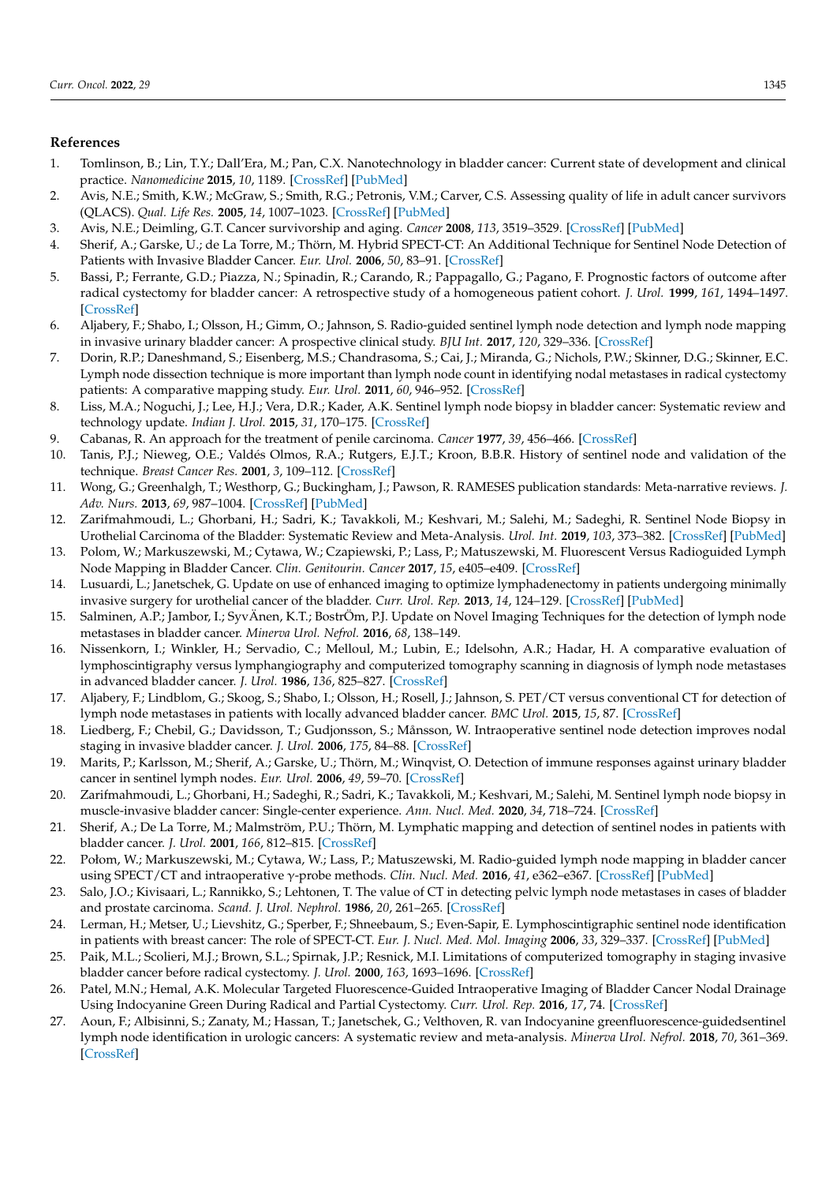# **References**

- <span id="page-10-0"></span>1. Tomlinson, B.; Lin, T.Y.; Dall'Era, M.; Pan, C.X. Nanotechnology in bladder cancer: Current state of development and clinical practice. *Nanomedicine* **2015**, *10*, 1189. [\[CrossRef\]](http://doi.org/10.2217/nnm.14.212) [\[PubMed\]](http://www.ncbi.nlm.nih.gov/pubmed/25929573)
- <span id="page-10-1"></span>2. Avis, N.E.; Smith, K.W.; McGraw, S.; Smith, R.G.; Petronis, V.M.; Carver, C.S. Assessing quality of life in adult cancer survivors (QLACS). *Qual. Life Res.* **2005**, *14*, 1007–1023. [\[CrossRef\]](http://doi.org/10.1007/s11136-004-2147-2) [\[PubMed\]](http://www.ncbi.nlm.nih.gov/pubmed/16041897)
- <span id="page-10-2"></span>3. Avis, N.E.; Deimling, G.T. Cancer survivorship and aging. *Cancer* **2008**, *113*, 3519–3529. [\[CrossRef\]](http://doi.org/10.1002/cncr.23941) [\[PubMed\]](http://www.ncbi.nlm.nih.gov/pubmed/19058151)
- <span id="page-10-3"></span>4. Sherif, A.; Garske, U.; de La Torre, M.; Thörn, M. Hybrid SPECT-CT: An Additional Technique for Sentinel Node Detection of Patients with Invasive Bladder Cancer. *Eur. Urol.* **2006**, *50*, 83–91. [\[CrossRef\]](http://doi.org/10.1016/j.eururo.2006.03.002)
- <span id="page-10-4"></span>5. Bassi, P.; Ferrante, G.D.; Piazza, N.; Spinadin, R.; Carando, R.; Pappagallo, G.; Pagano, F. Prognostic factors of outcome after radical cystectomy for bladder cancer: A retrospective study of a homogeneous patient cohort. *J. Urol.* **1999**, *161*, 1494–1497. [\[CrossRef\]](http://doi.org/10.1016/S0022-5347(05)68936-7)
- <span id="page-10-5"></span>6. Aljabery, F.; Shabo, I.; Olsson, H.; Gimm, O.; Jahnson, S. Radio-guided sentinel lymph node detection and lymph node mapping in invasive urinary bladder cancer: A prospective clinical study. *BJU Int.* **2017**, *120*, 329–336. [\[CrossRef\]](http://doi.org/10.1111/bju.13700)
- <span id="page-10-6"></span>7. Dorin, R.P.; Daneshmand, S.; Eisenberg, M.S.; Chandrasoma, S.; Cai, J.; Miranda, G.; Nichols, P.W.; Skinner, D.G.; Skinner, E.C. Lymph node dissection technique is more important than lymph node count in identifying nodal metastases in radical cystectomy patients: A comparative mapping study. *Eur. Urol.* **2011**, *60*, 946–952. [\[CrossRef\]](http://doi.org/10.1016/j.eururo.2011.07.012)
- <span id="page-10-7"></span>8. Liss, M.A.; Noguchi, J.; Lee, H.J.; Vera, D.R.; Kader, A.K. Sentinel lymph node biopsy in bladder cancer: Systematic review and technology update. *Indian J. Urol.* **2015**, *31*, 170–175. [\[CrossRef\]](http://doi.org/10.4103/0970-1591.159601)
- <span id="page-10-8"></span>9. Cabanas, R. An approach for the treatment of penile carcinoma. *Cancer* **1977**, *39*, 456–466. [\[CrossRef\]](http://doi.org/10.1002/1097-0142(197702)39:2<456::AID-CNCR2820390214>3.0.CO;2-I)
- <span id="page-10-9"></span>10. Tanis, P.J.; Nieweg, O.E.; Valdés Olmos, R.A.; Rutgers, E.J.T.; Kroon, B.B.R. History of sentinel node and validation of the technique. *Breast Cancer Res.* **2001**, *3*, 109–112. [\[CrossRef\]](http://doi.org/10.1186/bcr281)
- <span id="page-10-10"></span>11. Wong, G.; Greenhalgh, T.; Westhorp, G.; Buckingham, J.; Pawson, R. RAMESES publication standards: Meta-narrative reviews. *J. Adv. Nurs.* **2013**, *69*, 987–1004. [\[CrossRef\]](http://doi.org/10.1111/jan.12092) [\[PubMed\]](http://www.ncbi.nlm.nih.gov/pubmed/23356699)
- <span id="page-10-11"></span>12. Zarifmahmoudi, L.; Ghorbani, H.; Sadri, K.; Tavakkoli, M.; Keshvari, M.; Salehi, M.; Sadeghi, R. Sentinel Node Biopsy in Urothelial Carcinoma of the Bladder: Systematic Review and Meta-Analysis. *Urol. Int.* **2019**, *103*, 373–382. [\[CrossRef\]](http://doi.org/10.1159/000497310) [\[PubMed\]](http://www.ncbi.nlm.nih.gov/pubmed/30836375)
- <span id="page-10-12"></span>13. Polom, W.; Markuszewski, M.; Cytawa, W.; Czapiewski, P.; Lass, P.; Matuszewski, M. Fluorescent Versus Radioguided Lymph Node Mapping in Bladder Cancer. *Clin. Genitourin. Cancer* **2017**, *15*, e405–e409. [\[CrossRef\]](http://doi.org/10.1016/j.clgc.2016.11.007)
- <span id="page-10-13"></span>14. Lusuardi, L.; Janetschek, G. Update on use of enhanced imaging to optimize lymphadenectomy in patients undergoing minimally invasive surgery for urothelial cancer of the bladder. *Curr. Urol. Rep.* **2013**, *14*, 124–129. [\[CrossRef\]](http://doi.org/10.1007/s11934-013-0304-2) [\[PubMed\]](http://www.ncbi.nlm.nih.gov/pubmed/23341374)
- <span id="page-10-14"></span>15. Salminen, A.P.; Jambor, I.; SyvÄnen, K.T.; BostrÖm, P.J. Update on Novel Imaging Techniques for the detection of lymph node metastases in bladder cancer. *Minerva Urol. Nefrol.* **2016**, *68*, 138–149.
- <span id="page-10-15"></span>16. Nissenkorn, I.; Winkler, H.; Servadio, C.; Melloul, M.; Lubin, E.; Idelsohn, A.R.; Hadar, H. A comparative evaluation of lymphoscintigraphy versus lymphangiography and computerized tomography scanning in diagnosis of lymph node metastases in advanced bladder cancer. *J. Urol.* **1986**, *136*, 825–827. [\[CrossRef\]](http://doi.org/10.1016/S0022-5347(17)45093-2)
- <span id="page-10-16"></span>17. Aljabery, F.; Lindblom, G.; Skoog, S.; Shabo, I.; Olsson, H.; Rosell, J.; Jahnson, S. PET/CT versus conventional CT for detection of lymph node metastases in patients with locally advanced bladder cancer. *BMC Urol.* **2015**, *15*, 87. [\[CrossRef\]](http://doi.org/10.1186/s12894-015-0080-z)
- <span id="page-10-17"></span>18. Liedberg, F.; Chebil, G.; Davidsson, T.; Gudjonsson, S.; Månsson, W. Intraoperative sentinel node detection improves nodal staging in invasive bladder cancer. *J. Urol.* **2006**, *175*, 84–88. [\[CrossRef\]](http://doi.org/10.1016/S0022-5347(05)00066-2)
- <span id="page-10-18"></span>19. Marits, P.; Karlsson, M.; Sherif, A.; Garske, U.; Thörn, M.; Winqvist, O. Detection of immune responses against urinary bladder cancer in sentinel lymph nodes. *Eur. Urol.* **2006**, *49*, 59–70. [\[CrossRef\]](http://doi.org/10.1016/j.eururo.2005.09.010)
- <span id="page-10-19"></span>20. Zarifmahmoudi, L.; Ghorbani, H.; Sadeghi, R.; Sadri, K.; Tavakkoli, M.; Keshvari, M.; Salehi, M. Sentinel lymph node biopsy in muscle-invasive bladder cancer: Single-center experience. *Ann. Nucl. Med.* **2020**, *34*, 718–724. [\[CrossRef\]](http://doi.org/10.1007/s12149-020-01502-6)
- <span id="page-10-20"></span>21. Sherif, A.; De La Torre, M.; Malmström, P.U.; Thörn, M. Lymphatic mapping and detection of sentinel nodes in patients with bladder cancer. *J. Urol.* **2001**, *166*, 812–815. [\[CrossRef\]](http://doi.org/10.1016/S0022-5347(05)65842-9)
- <span id="page-10-21"></span>22. Połom, W.; Markuszewski, M.; Cytawa, W.; Lass, P.; Matuszewski, M. Radio-guided lymph node mapping in bladder cancer using SPECT/CT and intraoperative γ-probe methods. *Clin. Nucl. Med.* **2016**, *41*, e362–e367. [\[CrossRef\]](http://doi.org/10.1097/RLU.0000000000001224) [\[PubMed\]](http://www.ncbi.nlm.nih.gov/pubmed/27055134)
- <span id="page-10-22"></span>23. Salo, J.O.; Kivisaari, L.; Rannikko, S.; Lehtonen, T. The value of CT in detecting pelvic lymph node metastases in cases of bladder and prostate carcinoma. *Scand. J. Urol. Nephrol.* **1986**, *20*, 261–265. [\[CrossRef\]](http://doi.org/10.3109/00365598609024509)
- <span id="page-10-23"></span>24. Lerman, H.; Metser, U.; Lievshitz, G.; Sperber, F.; Shneebaum, S.; Even-Sapir, E. Lymphoscintigraphic sentinel node identification in patients with breast cancer: The role of SPECT-CT. *Eur. J. Nucl. Med. Mol. Imaging* **2006**, *33*, 329–337. [\[CrossRef\]](http://doi.org/10.1007/s00259-005-1927-4) [\[PubMed\]](http://www.ncbi.nlm.nih.gov/pubmed/16220303)
- <span id="page-10-24"></span>25. Paik, M.L.; Scolieri, M.J.; Brown, S.L.; Spirnak, J.P.; Resnick, M.I. Limitations of computerized tomography in staging invasive bladder cancer before radical cystectomy. *J. Urol.* **2000**, *163*, 1693–1696. [\[CrossRef\]](http://doi.org/10.1016/S0022-5347(05)67522-2)
- <span id="page-10-25"></span>26. Patel, M.N.; Hemal, A.K. Molecular Targeted Fluorescence-Guided Intraoperative Imaging of Bladder Cancer Nodal Drainage Using Indocyanine Green During Radical and Partial Cystectomy. *Curr. Urol. Rep.* **2016**, *17*, 74. [\[CrossRef\]](http://doi.org/10.1007/s11934-016-0633-z)
- <span id="page-10-26"></span>27. Aoun, F.; Albisinni, S.; Zanaty, M.; Hassan, T.; Janetschek, G.; Velthoven, R. van Indocyanine greenfluorescence-guidedsentinel lymph node identification in urologic cancers: A systematic review and meta-analysis. *Minerva Urol. Nefrol.* **2018**, *70*, 361–369. [\[CrossRef\]](http://doi.org/10.23736/S0393-2249.17.02932-0)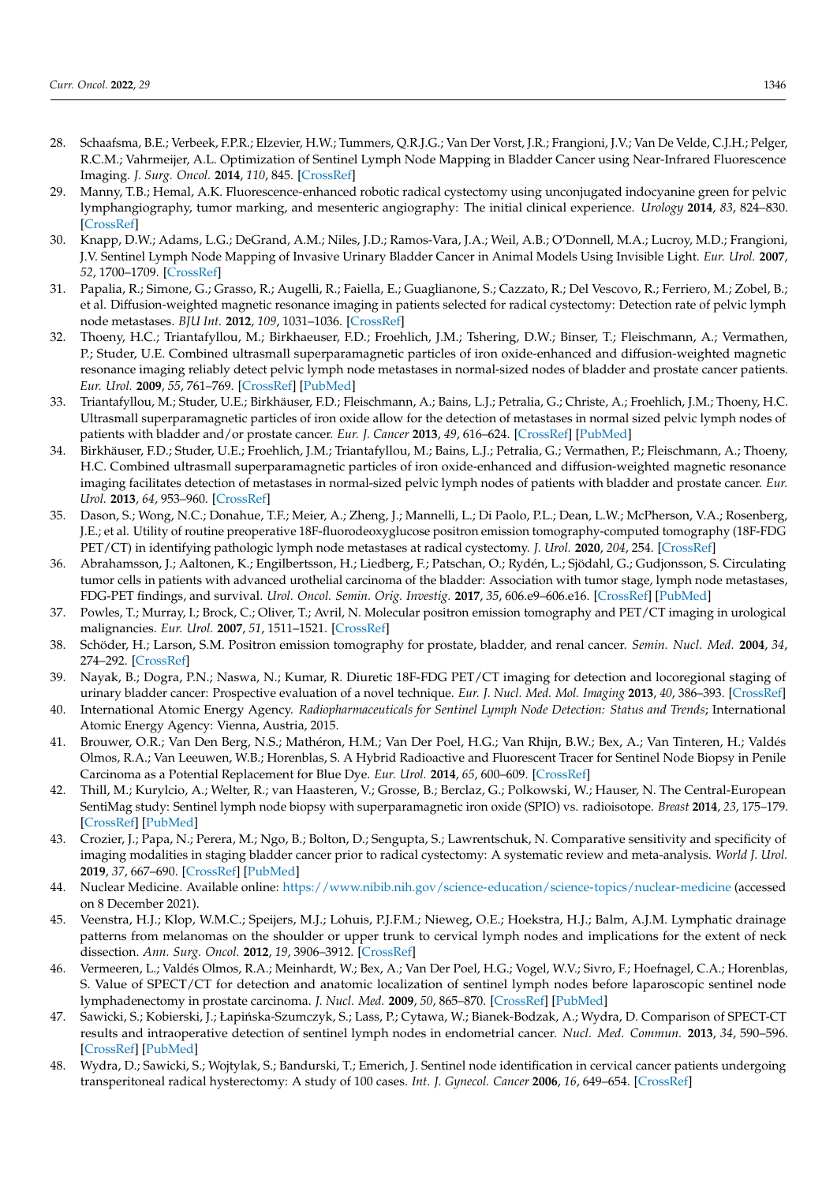- <span id="page-11-0"></span>28. Schaafsma, B.E.; Verbeek, F.P.R.; Elzevier, H.W.; Tummers, Q.R.J.G.; Van Der Vorst, J.R.; Frangioni, J.V.; Van De Velde, C.J.H.; Pelger, R.C.M.; Vahrmeijer, A.L. Optimization of Sentinel Lymph Node Mapping in Bladder Cancer using Near-Infrared Fluorescence Imaging. *J. Surg. Oncol.* **2014**, *110*, 845. [\[CrossRef\]](http://doi.org/10.1002/jso.23740)
- <span id="page-11-1"></span>29. Manny, T.B.; Hemal, A.K. Fluorescence-enhanced robotic radical cystectomy using unconjugated indocyanine green for pelvic lymphangiography, tumor marking, and mesenteric angiography: The initial clinical experience. *Urology* **2014**, *83*, 824–830. [\[CrossRef\]](http://doi.org/10.1016/j.urology.2013.11.042)
- <span id="page-11-2"></span>30. Knapp, D.W.; Adams, L.G.; DeGrand, A.M.; Niles, J.D.; Ramos-Vara, J.A.; Weil, A.B.; O'Donnell, M.A.; Lucroy, M.D.; Frangioni, J.V. Sentinel Lymph Node Mapping of Invasive Urinary Bladder Cancer in Animal Models Using Invisible Light. *Eur. Urol.* **2007**, *52*, 1700–1709. [\[CrossRef\]](http://doi.org/10.1016/j.eururo.2007.07.007)
- <span id="page-11-3"></span>31. Papalia, R.; Simone, G.; Grasso, R.; Augelli, R.; Faiella, E.; Guaglianone, S.; Cazzato, R.; Del Vescovo, R.; Ferriero, M.; Zobel, B.; et al. Diffusion-weighted magnetic resonance imaging in patients selected for radical cystectomy: Detection rate of pelvic lymph node metastases. *BJU Int.* **2012**, *109*, 1031–1036. [\[CrossRef\]](http://doi.org/10.1111/j.1464-410X.2011.10446.x)
- <span id="page-11-4"></span>32. Thoeny, H.C.; Triantafyllou, M.; Birkhaeuser, F.D.; Froehlich, J.M.; Tshering, D.W.; Binser, T.; Fleischmann, A.; Vermathen, P.; Studer, U.E. Combined ultrasmall superparamagnetic particles of iron oxide-enhanced and diffusion-weighted magnetic resonance imaging reliably detect pelvic lymph node metastases in normal-sized nodes of bladder and prostate cancer patients. *Eur. Urol.* **2009**, *55*, 761–769. [\[CrossRef\]](http://doi.org/10.1016/j.eururo.2008.12.034) [\[PubMed\]](http://www.ncbi.nlm.nih.gov/pubmed/19144456)
- <span id="page-11-5"></span>33. Triantafyllou, M.; Studer, U.E.; Birkhäuser, F.D.; Fleischmann, A.; Bains, L.J.; Petralia, G.; Christe, A.; Froehlich, J.M.; Thoeny, H.C. Ultrasmall superparamagnetic particles of iron oxide allow for the detection of metastases in normal sized pelvic lymph nodes of patients with bladder and/or prostate cancer. *Eur. J. Cancer* **2013**, *49*, 616–624. [\[CrossRef\]](http://doi.org/10.1016/j.ejca.2012.09.034) [\[PubMed\]](http://www.ncbi.nlm.nih.gov/pubmed/23084842)
- <span id="page-11-6"></span>34. Birkhäuser, F.D.; Studer, U.E.; Froehlich, J.M.; Triantafyllou, M.; Bains, L.J.; Petralia, G.; Vermathen, P.; Fleischmann, A.; Thoeny, H.C. Combined ultrasmall superparamagnetic particles of iron oxide-enhanced and diffusion-weighted magnetic resonance imaging facilitates detection of metastases in normal-sized pelvic lymph nodes of patients with bladder and prostate cancer. *Eur. Urol.* **2013**, *64*, 953–960. [\[CrossRef\]](http://doi.org/10.1016/j.eururo.2013.07.032)
- <span id="page-11-7"></span>35. Dason, S.; Wong, N.C.; Donahue, T.F.; Meier, A.; Zheng, J.; Mannelli, L.; Di Paolo, P.L.; Dean, L.W.; McPherson, V.A.; Rosenberg, J.E.; et al. Utility of routine preoperative 18F-fluorodeoxyglucose positron emission tomography-computed tomography (18F-FDG PET/CT) in identifying pathologic lymph node metastases at radical cystectomy. *J. Urol.* **2020**, *204*, 254. [\[CrossRef\]](http://doi.org/10.1097/JU.0000000000001006)
- <span id="page-11-8"></span>36. Abrahamsson, J.; Aaltonen, K.; Engilbertsson, H.; Liedberg, F.; Patschan, O.; Rydén, L.; Sjödahl, G.; Gudjonsson, S. Circulating tumor cells in patients with advanced urothelial carcinoma of the bladder: Association with tumor stage, lymph node metastases, FDG-PET findings, and survival. *Urol. Oncol. Semin. Orig. Investig.* **2017**, *35*, 606.e9–606.e16. [\[CrossRef\]](http://doi.org/10.1016/j.urolonc.2017.05.021) [\[PubMed\]](http://www.ncbi.nlm.nih.gov/pubmed/28676151)
- <span id="page-11-9"></span>37. Powles, T.; Murray, I.; Brock, C.; Oliver, T.; Avril, N. Molecular positron emission tomography and PET/CT imaging in urological malignancies. *Eur. Urol.* **2007**, *51*, 1511–1521. [\[CrossRef\]](http://doi.org/10.1016/j.eururo.2007.01.061)
- <span id="page-11-10"></span>38. Schöder, H.; Larson, S.M. Positron emission tomography for prostate, bladder, and renal cancer. *Semin. Nucl. Med.* **2004**, *34*, 274–292. [\[CrossRef\]](http://doi.org/10.1053/j.semnuclmed.2004.06.004)
- <span id="page-11-11"></span>39. Nayak, B.; Dogra, P.N.; Naswa, N.; Kumar, R. Diuretic 18F-FDG PET/CT imaging for detection and locoregional staging of urinary bladder cancer: Prospective evaluation of a novel technique. *Eur. J. Nucl. Med. Mol. Imaging* **2013**, *40*, 386–393. [\[CrossRef\]](http://doi.org/10.1007/s00259-012-2294-6)
- <span id="page-11-12"></span>40. International Atomic Energy Agency. *Radiopharmaceuticals for Sentinel Lymph Node Detection: Status and Trends*; International Atomic Energy Agency: Vienna, Austria, 2015.
- <span id="page-11-13"></span>41. Brouwer, O.R.; Van Den Berg, N.S.; Mathéron, H.M.; Van Der Poel, H.G.; Van Rhijn, B.W.; Bex, A.; Van Tinteren, H.; Valdés Olmos, R.A.; Van Leeuwen, W.B.; Horenblas, S. A Hybrid Radioactive and Fluorescent Tracer for Sentinel Node Biopsy in Penile Carcinoma as a Potential Replacement for Blue Dye. *Eur. Urol.* **2014**, *65*, 600–609. [\[CrossRef\]](http://doi.org/10.1016/j.eururo.2013.11.014)
- <span id="page-11-14"></span>42. Thill, M.; Kurylcio, A.; Welter, R.; van Haasteren, V.; Grosse, B.; Berclaz, G.; Polkowski, W.; Hauser, N. The Central-European SentiMag study: Sentinel lymph node biopsy with superparamagnetic iron oxide (SPIO) vs. radioisotope. *Breast* **2014**, *23*, 175–179. [\[CrossRef\]](http://doi.org/10.1016/j.breast.2014.01.004) [\[PubMed\]](http://www.ncbi.nlm.nih.gov/pubmed/24484967)
- <span id="page-11-15"></span>43. Crozier, J.; Papa, N.; Perera, M.; Ngo, B.; Bolton, D.; Sengupta, S.; Lawrentschuk, N. Comparative sensitivity and specificity of imaging modalities in staging bladder cancer prior to radical cystectomy: A systematic review and meta-analysis. *World J. Urol.* **2019**, *37*, 667–690. [\[CrossRef\]](http://doi.org/10.1007/s00345-018-2439-8) [\[PubMed\]](http://www.ncbi.nlm.nih.gov/pubmed/30120501)
- <span id="page-11-16"></span>44. Nuclear Medicine. Available online: <https://www.nibib.nih.gov/science-education/science-topics/nuclear-medicine> (accessed on 8 December 2021).
- <span id="page-11-17"></span>45. Veenstra, H.J.; Klop, W.M.C.; Speijers, M.J.; Lohuis, P.J.F.M.; Nieweg, O.E.; Hoekstra, H.J.; Balm, A.J.M. Lymphatic drainage patterns from melanomas on the shoulder or upper trunk to cervical lymph nodes and implications for the extent of neck dissection. *Ann. Surg. Oncol.* **2012**, *19*, 3906–3912. [\[CrossRef\]](http://doi.org/10.1245/s10434-012-2387-2)
- 46. Vermeeren, L.; Valdés Olmos, R.A.; Meinhardt, W.; Bex, A.; Van Der Poel, H.G.; Vogel, W.V.; Sivro, F.; Hoefnagel, C.A.; Horenblas, S. Value of SPECT/CT for detection and anatomic localization of sentinel lymph nodes before laparoscopic sentinel node lymphadenectomy in prostate carcinoma. *J. Nucl. Med.* **2009**, *50*, 865–870. [\[CrossRef\]](http://doi.org/10.2967/jnumed.108.060673) [\[PubMed\]](http://www.ncbi.nlm.nih.gov/pubmed/19443579)
- 47. Sawicki, S.; Kobierski, J.; Łapińska-Szumczyk, S.; Lass, P.; Cytawa, W.; Bianek-Bodzak, A.; Wydra, D. Comparison of SPECT-CT results and intraoperative detection of sentinel lymph nodes in endometrial cancer. *Nucl. Med. Commun.* **2013**, *34*, 590–596. [\[CrossRef\]](http://doi.org/10.1097/MNM.0b013e328360d8cc) [\[PubMed\]](http://www.ncbi.nlm.nih.gov/pubmed/23542912)
- <span id="page-11-18"></span>48. Wydra, D.; Sawicki, S.; Wojtylak, S.; Bandurski, T.; Emerich, J. Sentinel node identification in cervical cancer patients undergoing transperitoneal radical hysterectomy: A study of 100 cases. *Int. J. Gynecol. Cancer* **2006**, *16*, 649–654. [\[CrossRef\]](http://doi.org/10.1111/j.1525-1438.2006.00402.x)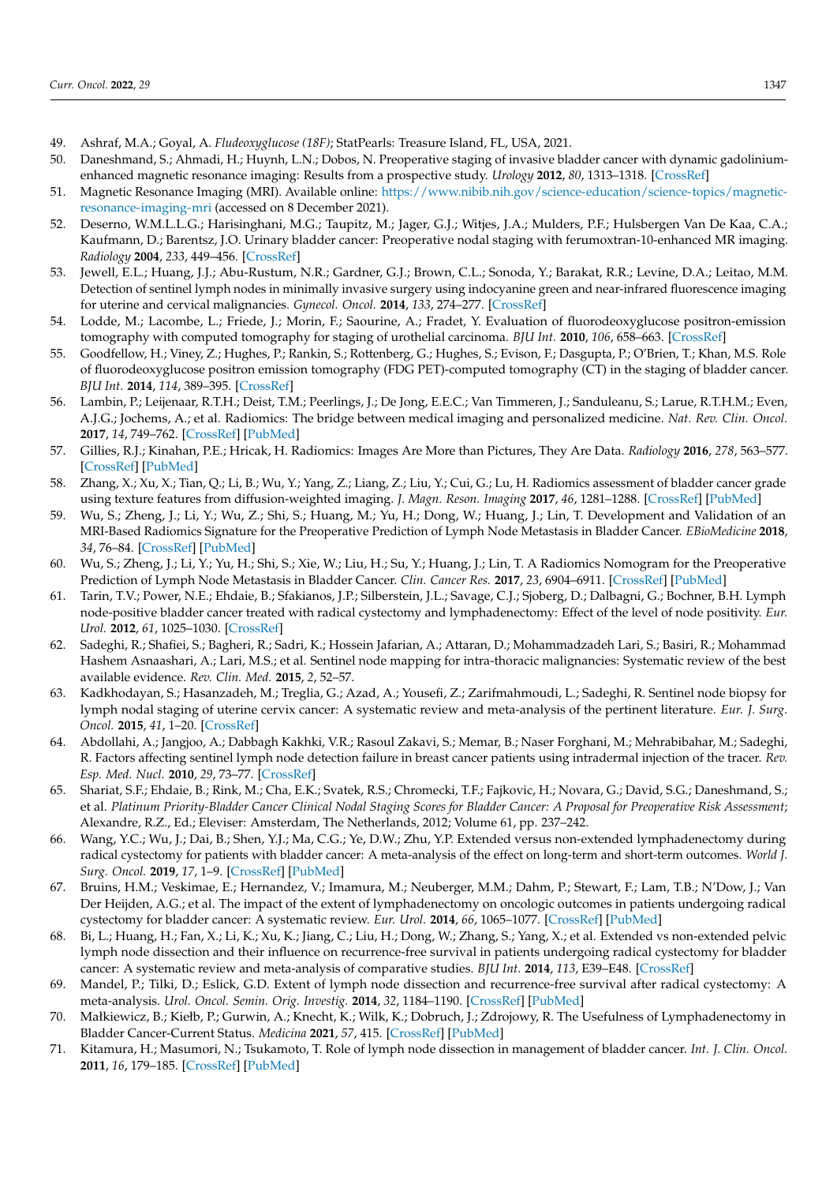- <span id="page-12-0"></span>49. Ashraf, M.A.; Goyal, A. *Fludeoxyglucose (18F)*; StatPearls: Treasure Island, FL, USA, 2021.
- <span id="page-12-1"></span>50. Daneshmand, S.; Ahmadi, H.; Huynh, L.N.; Dobos, N. Preoperative staging of invasive bladder cancer with dynamic gadoliniumenhanced magnetic resonance imaging: Results from a prospective study. *Urology* **2012**, *80*, 1313–1318. [\[CrossRef\]](http://doi.org/10.1016/j.urology.2012.07.056)
- <span id="page-12-2"></span>51. Magnetic Resonance Imaging (MRI). Available online: [https://www.nibib.nih.gov/science-education/science-topics/magnetic](https://www.nibib.nih.gov/science-education/science-topics/magnetic-resonance-imaging-mri)[resonance-imaging-mri](https://www.nibib.nih.gov/science-education/science-topics/magnetic-resonance-imaging-mri) (accessed on 8 December 2021).
- <span id="page-12-3"></span>52. Deserno, W.M.L.L.G.; Harisinghani, M.G.; Taupitz, M.; Jager, G.J.; Witjes, J.A.; Mulders, P.F.; Hulsbergen Van De Kaa, C.A.; Kaufmann, D.; Barentsz, J.O. Urinary bladder cancer: Preoperative nodal staging with ferumoxtran-10-enhanced MR imaging. *Radiology* **2004**, *233*, 449–456. [\[CrossRef\]](http://doi.org/10.1148/radiol.2332031111)
- <span id="page-12-4"></span>53. Jewell, E.L.; Huang, J.J.; Abu-Rustum, N.R.; Gardner, G.J.; Brown, C.L.; Sonoda, Y.; Barakat, R.R.; Levine, D.A.; Leitao, M.M. Detection of sentinel lymph nodes in minimally invasive surgery using indocyanine green and near-infrared fluorescence imaging for uterine and cervical malignancies. *Gynecol. Oncol.* **2014**, *133*, 274–277. [\[CrossRef\]](http://doi.org/10.1016/j.ygyno.2014.02.028)
- <span id="page-12-5"></span>54. Lodde, M.; Lacombe, L.; Friede, J.; Morin, F.; Saourine, A.; Fradet, Y. Evaluation of fluorodeoxyglucose positron-emission tomography with computed tomography for staging of urothelial carcinoma. *BJU Int.* **2010**, *106*, 658–663. [\[CrossRef\]](http://doi.org/10.1111/j.1464-410X.2010.09212.x)
- <span id="page-12-6"></span>55. Goodfellow, H.; Viney, Z.; Hughes, P.; Rankin, S.; Rottenberg, G.; Hughes, S.; Evison, F.; Dasgupta, P.; O'Brien, T.; Khan, M.S. Role of fluorodeoxyglucose positron emission tomography (FDG PET)-computed tomography (CT) in the staging of bladder cancer. *BJU Int.* **2014**, *114*, 389–395. [\[CrossRef\]](http://doi.org/10.1111/bju.12608)
- <span id="page-12-7"></span>56. Lambin, P.; Leijenaar, R.T.H.; Deist, T.M.; Peerlings, J.; De Jong, E.E.C.; Van Timmeren, J.; Sanduleanu, S.; Larue, R.T.H.M.; Even, A.J.G.; Jochems, A.; et al. Radiomics: The bridge between medical imaging and personalized medicine. *Nat. Rev. Clin. Oncol.* **2017**, *14*, 749–762. [\[CrossRef\]](http://doi.org/10.1038/nrclinonc.2017.141) [\[PubMed\]](http://www.ncbi.nlm.nih.gov/pubmed/28975929)
- <span id="page-12-8"></span>57. Gillies, R.J.; Kinahan, P.E.; Hricak, H. Radiomics: Images Are More than Pictures, They Are Data. *Radiology* **2016**, *278*, 563–577. [\[CrossRef\]](http://doi.org/10.1148/radiol.2015151169) [\[PubMed\]](http://www.ncbi.nlm.nih.gov/pubmed/26579733)
- <span id="page-12-9"></span>58. Zhang, X.; Xu, X.; Tian, Q.; Li, B.; Wu, Y.; Yang, Z.; Liang, Z.; Liu, Y.; Cui, G.; Lu, H. Radiomics assessment of bladder cancer grade using texture features from diffusion-weighted imaging. *J. Magn. Reson. Imaging* **2017**, *46*, 1281–1288. [\[CrossRef\]](http://doi.org/10.1002/jmri.25669) [\[PubMed\]](http://www.ncbi.nlm.nih.gov/pubmed/28199039)
- <span id="page-12-10"></span>59. Wu, S.; Zheng, J.; Li, Y.; Wu, Z.; Shi, S.; Huang, M.; Yu, H.; Dong, W.; Huang, J.; Lin, T. Development and Validation of an MRI-Based Radiomics Signature for the Preoperative Prediction of Lymph Node Metastasis in Bladder Cancer. *EBioMedicine* **2018**, *34*, 76–84. [\[CrossRef\]](http://doi.org/10.1016/j.ebiom.2018.07.029) [\[PubMed\]](http://www.ncbi.nlm.nih.gov/pubmed/30078735)
- <span id="page-12-11"></span>60. Wu, S.; Zheng, J.; Li, Y.; Yu, H.; Shi, S.; Xie, W.; Liu, H.; Su, Y.; Huang, J.; Lin, T. A Radiomics Nomogram for the Preoperative Prediction of Lymph Node Metastasis in Bladder Cancer. *Clin. Cancer Res.* **2017**, *23*, 6904–6911. [\[CrossRef\]](http://doi.org/10.1158/1078-0432.CCR-17-1510) [\[PubMed\]](http://www.ncbi.nlm.nih.gov/pubmed/28874414)
- <span id="page-12-12"></span>61. Tarin, T.V.; Power, N.E.; Ehdaie, B.; Sfakianos, J.P.; Silberstein, J.L.; Savage, C.J.; Sjoberg, D.; Dalbagni, G.; Bochner, B.H. Lymph node-positive bladder cancer treated with radical cystectomy and lymphadenectomy: Effect of the level of node positivity. *Eur. Urol.* **2012**, *61*, 1025–1030. [\[CrossRef\]](http://doi.org/10.1016/j.eururo.2012.01.049)
- <span id="page-12-13"></span>62. Sadeghi, R.; Shafiei, S.; Bagheri, R.; Sadri, K.; Hossein Jafarian, A.; Attaran, D.; Mohammadzadeh Lari, S.; Basiri, R.; Mohammad Hashem Asnaashari, A.; Lari, M.S.; et al. Sentinel node mapping for intra-thoracic malignancies: Systematic review of the best available evidence. *Rev. Clin. Med.* **2015**, *2*, 52–57.
- 63. Kadkhodayan, S.; Hasanzadeh, M.; Treglia, G.; Azad, A.; Yousefi, Z.; Zarifmahmoudi, L.; Sadeghi, R. Sentinel node biopsy for lymph nodal staging of uterine cervix cancer: A systematic review and meta-analysis of the pertinent literature. *Eur. J. Surg. Oncol.* **2015**, *41*, 1–20. [\[CrossRef\]](http://doi.org/10.1016/j.ejso.2014.09.010)
- 64. Abdollahi, A.; Jangjoo, A.; Dabbagh Kakhki, V.R.; Rasoul Zakavi, S.; Memar, B.; Naser Forghani, M.; Mehrabibahar, M.; Sadeghi, R. Factors affecting sentinel lymph node detection failure in breast cancer patients using intradermal injection of the tracer. *Rev. Esp. Med. Nucl.* **2010**, *29*, 73–77. [\[CrossRef\]](http://doi.org/10.1016/j.remn.2009.10.001)
- <span id="page-12-14"></span>65. Shariat, S.F.; Ehdaie, B.; Rink, M.; Cha, E.K.; Svatek, R.S.; Chromecki, T.F.; Fajkovic, H.; Novara, G.; David, S.G.; Daneshmand, S.; et al. *Platinum Priority-Bladder Cancer Clinical Nodal Staging Scores for Bladder Cancer: A Proposal for Preoperative Risk Assessment*; Alexandre, R.Z., Ed.; Eleviser: Amsterdam, The Netherlands, 2012; Volume 61, pp. 237–242.
- <span id="page-12-15"></span>66. Wang, Y.C.; Wu, J.; Dai, B.; Shen, Y.J.; Ma, C.G.; Ye, D.W.; Zhu, Y.P. Extended versus non-extended lymphadenectomy during radical cystectomy for patients with bladder cancer: A meta-analysis of the effect on long-term and short-term outcomes. *World J. Surg. Oncol.* **2019**, *17*, 1–9. [\[CrossRef\]](http://doi.org/10.1186/s12957-019-1759-5) [\[PubMed\]](http://www.ncbi.nlm.nih.gov/pubmed/31864368)
- <span id="page-12-16"></span>67. Bruins, H.M.; Veskimae, E.; Hernandez, V.; Imamura, M.; Neuberger, M.M.; Dahm, P.; Stewart, F.; Lam, T.B.; N'Dow, J.; Van Der Heijden, A.G.; et al. The impact of the extent of lymphadenectomy on oncologic outcomes in patients undergoing radical cystectomy for bladder cancer: A systematic review. *Eur. Urol.* **2014**, *66*, 1065–1077. [\[CrossRef\]](http://doi.org/10.1016/j.eururo.2014.05.031) [\[PubMed\]](http://www.ncbi.nlm.nih.gov/pubmed/25074764)
- 68. Bi, L.; Huang, H.; Fan, X.; Li, K.; Xu, K.; Jiang, C.; Liu, H.; Dong, W.; Zhang, S.; Yang, X.; et al. Extended vs non-extended pelvic lymph node dissection and their influence on recurrence-free survival in patients undergoing radical cystectomy for bladder cancer: A systematic review and meta-analysis of comparative studies. *BJU Int.* **2014**, *113*, E39–E48. [\[CrossRef\]](http://doi.org/10.1111/bju.12371)
- 69. Mandel, P.; Tilki, D.; Eslick, G.D. Extent of lymph node dissection and recurrence-free survival after radical cystectomy: A meta-analysis. *Urol. Oncol. Semin. Orig. Investig.* **2014**, *32*, 1184–1190. [\[CrossRef\]](http://doi.org/10.1016/j.urolonc.2014.01.017) [\[PubMed\]](http://www.ncbi.nlm.nih.gov/pubmed/25027683)
- <span id="page-12-17"></span>70. Małkiewicz, B.; Kiełb, P.; Gurwin, A.; Knecht, K.; Wilk, K.; Dobruch, J.; Zdrojowy, R. The Usefulness of Lymphadenectomy in Bladder Cancer-Current Status. *Medicina* **2021**, *57*, 415. [\[CrossRef\]](http://doi.org/10.3390/medicina57050415) [\[PubMed\]](http://www.ncbi.nlm.nih.gov/pubmed/33922894)
- <span id="page-12-18"></span>71. Kitamura, H.; Masumori, N.; Tsukamoto, T. Role of lymph node dissection in management of bladder cancer. *Int. J. Clin. Oncol.* **2011**, *16*, 179–185. [\[CrossRef\]](http://doi.org/10.1007/s10147-011-0235-1) [\[PubMed\]](http://www.ncbi.nlm.nih.gov/pubmed/21526392)